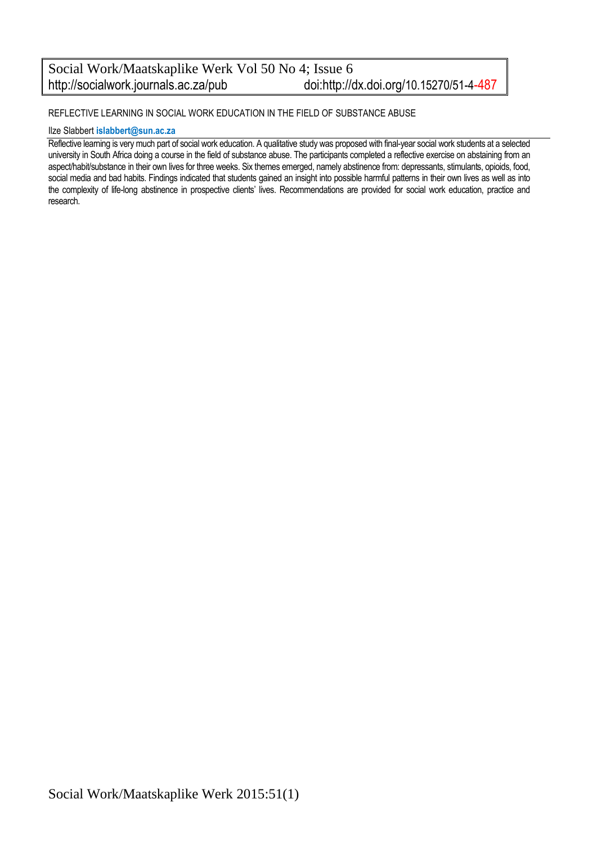#### Social Work/Maatskaplike Werk Vol 50 No 4; Issue 6<br>http://socialwork.journals.ac.za/pub doi:http:// doi:http://dx.doi.org/10.15270/51-4-487

#### REFLECTIVE LEARNING IN SOCIAL WORK EDUCATION IN THE FIELD OF SUBSTANCE ABUSE

#### Ilze Slabbert **[islabbert@sun.ac.za](mailto:islabbert@sun.ac.za)**

Reflective learning is very much part of social work education. A qualitative study was proposed with final-year social work students at a selected university in South Africa doing a course in the field of substance abuse. The participants completed a reflective exercise on abstaining from an aspect/habit/substance in their own lives for three weeks. Six themes emerged, namely abstinence from: depressants, stimulants, opioids, food, social media and bad habits. Findings indicated that students gained an insight into possible harmful patterns in their own lives as well as into the complexity of life-long abstinence in prospective clients' lives. Recommendations are provided for social work education, practice and research.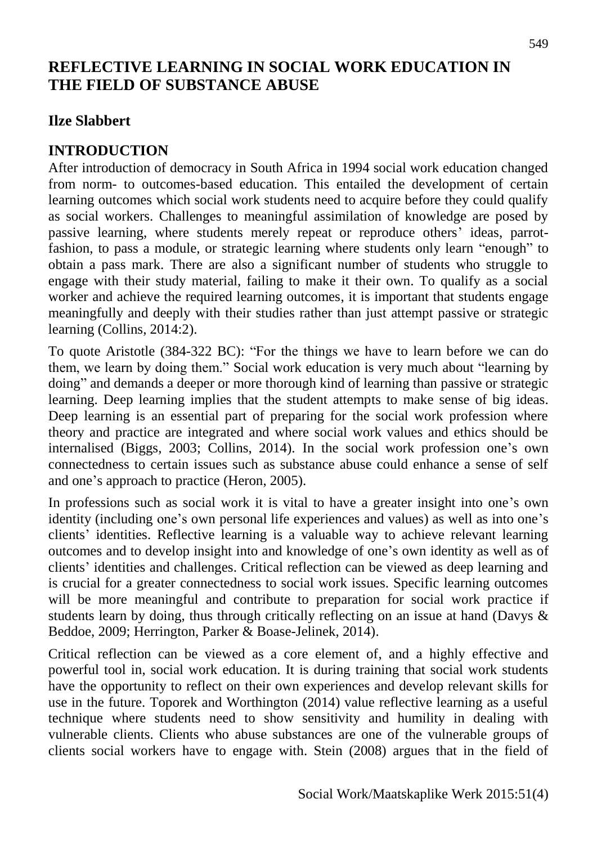# **REFLECTIVE LEARNING IN SOCIAL WORK EDUCATION IN THE FIELD OF SUBSTANCE ABUSE**

## **Ilze Slabbert**

## **INTRODUCTION**

After introduction of democracy in South Africa in 1994 social work education changed from norm- to outcomes-based education. This entailed the development of certain learning outcomes which social work students need to acquire before they could qualify as social workers. Challenges to meaningful assimilation of knowledge are posed by passive learning, where students merely repeat or reproduce others' ideas, parrotfashion, to pass a module, or strategic learning where students only learn "enough" to obtain a pass mark. There are also a significant number of students who struggle to engage with their study material, failing to make it their own. To qualify as a social worker and achieve the required learning outcomes, it is important that students engage meaningfully and deeply with their studies rather than just attempt passive or strategic learning (Collins, 2014:2).

To quote Aristotle (384-322 BC): "For the things we have to learn before we can do them, we learn by doing them." Social work education is very much about "learning by doing" and demands a deeper or more thorough kind of learning than passive or strategic learning. Deep learning implies that the student attempts to make sense of big ideas. Deep learning is an essential part of preparing for the social work profession where theory and practice are integrated and where social work values and ethics should be internalised (Biggs, 2003; Collins, 2014). In the social work profession one's own connectedness to certain issues such as substance abuse could enhance a sense of self and one's approach to practice (Heron, 2005).

In professions such as social work it is vital to have a greater insight into one's own identity (including one's own personal life experiences and values) as well as into one's clients' identities. Reflective learning is a valuable way to achieve relevant learning outcomes and to develop insight into and knowledge of one's own identity as well as of clients' identities and challenges. Critical reflection can be viewed as deep learning and is crucial for a greater connectedness to social work issues. Specific learning outcomes will be more meaningful and contribute to preparation for social work practice if students learn by doing, thus through critically reflecting on an issue at hand (Davys & Beddoe, 2009; Herrington, Parker & Boase-Jelinek, 2014).

Critical reflection can be viewed as a core element of, and a highly effective and powerful tool in, social work education. It is during training that social work students have the opportunity to reflect on their own experiences and develop relevant skills for use in the future. Toporek and Worthington (2014) value reflective learning as a useful technique where students need to show sensitivity and humility in dealing with vulnerable clients. Clients who abuse substances are one of the vulnerable groups of clients social workers have to engage with. Stein (2008) argues that in the field of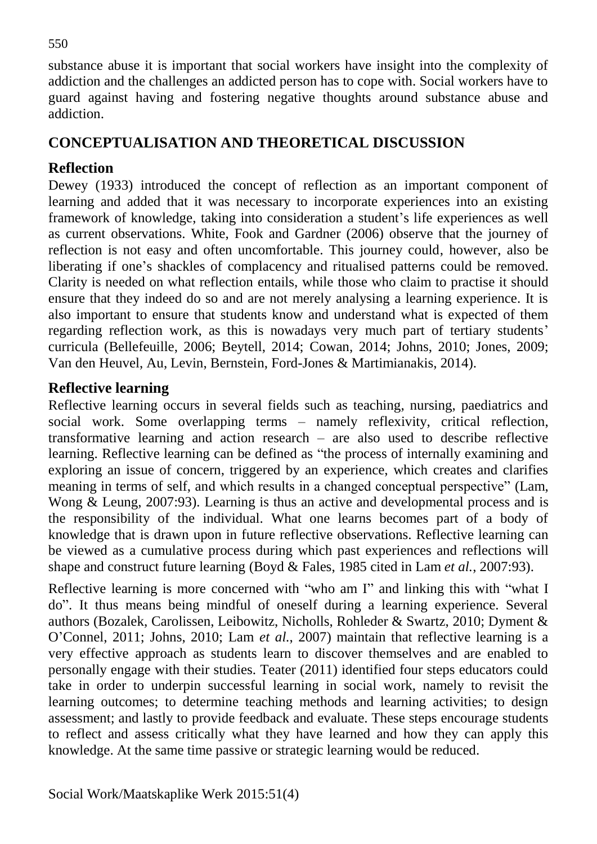substance abuse it is important that social workers have insight into the complexity of addiction and the challenges an addicted person has to cope with. Social workers have to guard against having and fostering negative thoughts around substance abuse and addiction.

## **CONCEPTUALISATION AND THEORETICAL DISCUSSION**

## **Reflection**

Dewey (1933) introduced the concept of reflection as an important component of learning and added that it was necessary to incorporate experiences into an existing framework of knowledge, taking into consideration a student's life experiences as well as current observations. White, Fook and Gardner (2006) observe that the journey of reflection is not easy and often uncomfortable. This journey could, however, also be liberating if one's shackles of complacency and ritualised patterns could be removed. Clarity is needed on what reflection entails, while those who claim to practise it should ensure that they indeed do so and are not merely analysing a learning experience. It is also important to ensure that students know and understand what is expected of them regarding reflection work, as this is nowadays very much part of tertiary students' curricula (Bellefeuille, 2006; Beytell, 2014; Cowan, 2014; Johns, 2010; Jones, 2009; Van den Heuvel, Au, Levin, Bernstein, Ford-Jones & Martimianakis, 2014).

## **Reflective learning**

Reflective learning occurs in several fields such as teaching, nursing, paediatrics and social work. Some overlapping terms – namely reflexivity, critical reflection, transformative learning and action research – are also used to describe reflective learning. Reflective learning can be defined as "the process of internally examining and exploring an issue of concern, triggered by an experience, which creates and clarifies meaning in terms of self, and which results in a changed conceptual perspective" (Lam, Wong & Leung, 2007:93)*.* Learning is thus an active and developmental process and is the responsibility of the individual. What one learns becomes part of a body of knowledge that is drawn upon in future reflective observations. Reflective learning can be viewed as a cumulative process during which past experiences and reflections will shape and construct future learning (Boyd & Fales, 1985 cited in Lam *et al.*, 2007:93).

Reflective learning is more concerned with "who am I" and linking this with "what I do". It thus means being mindful of oneself during a learning experience. Several authors (Bozalek, Carolissen, Leibowitz, Nicholls, Rohleder & Swartz, 2010; Dyment & O'Connel, 2011; Johns, 2010; Lam *et al.*, 2007) maintain that reflective learning is a very effective approach as students learn to discover themselves and are enabled to personally engage with their studies. Teater (2011) identified four steps educators could take in order to underpin successful learning in social work, namely to revisit the learning outcomes; to determine teaching methods and learning activities; to design assessment; and lastly to provide feedback and evaluate. These steps encourage students to reflect and assess critically what they have learned and how they can apply this knowledge. At the same time passive or strategic learning would be reduced.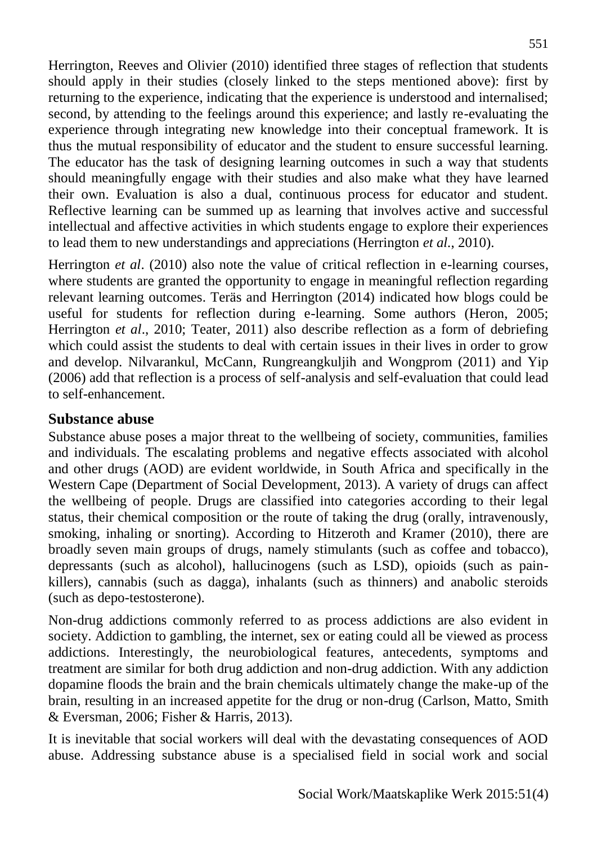Herrington, Reeves and Olivier (2010) identified three stages of reflection that students should apply in their studies (closely linked to the steps mentioned above): first by returning to the experience, indicating that the experience is understood and internalised; second, by attending to the feelings around this experience; and lastly re-evaluating the experience through integrating new knowledge into their conceptual framework. It is thus the mutual responsibility of educator and the student to ensure successful learning. The educator has the task of designing learning outcomes in such a way that students should meaningfully engage with their studies and also make what they have learned their own. Evaluation is also a dual, continuous process for educator and student. Reflective learning can be summed up as learning that involves active and successful intellectual and affective activities in which students engage to explore their experiences to lead them to new understandings and appreciations (Herrington *et al.*, 2010).

Herrington *et al*. (2010) also note the value of critical reflection in e-learning courses, where students are granted the opportunity to engage in meaningful reflection regarding relevant learning outcomes. Teräs and Herrington (2014) indicated how blogs could be useful for students for reflection during e-learning. Some authors (Heron, 2005; Herrington *et al*., 2010; Teater, 2011) also describe reflection as a form of debriefing which could assist the students to deal with certain issues in their lives in order to grow and develop. Nilvarankul, McCann, Rungreangkuljih and Wongprom (2011) and Yip (2006) add that reflection is a process of self-analysis and self-evaluation that could lead to self-enhancement.

#### **Substance abuse**

Substance abuse poses a major threat to the wellbeing of society, communities, families and individuals. The escalating problems and negative effects associated with alcohol and other drugs (AOD) are evident worldwide, in South Africa and specifically in the Western Cape (Department of Social Development, 2013). A variety of drugs can affect the wellbeing of people. Drugs are classified into categories according to their legal status, their chemical composition or the route of taking the drug (orally, intravenously, smoking, inhaling or snorting). According to Hitzeroth and Kramer (2010), there are broadly seven main groups of drugs, namely stimulants (such as coffee and tobacco), depressants (such as alcohol), hallucinogens (such as LSD), opioids (such as painkillers), cannabis (such as dagga), inhalants (such as thinners) and anabolic steroids (such as depo-testosterone).

Non-drug addictions commonly referred to as process addictions are also evident in society. Addiction to gambling, the internet, sex or eating could all be viewed as process addictions. Interestingly, the neurobiological features, antecedents, symptoms and treatment are similar for both drug addiction and non-drug addiction. With any addiction dopamine floods the brain and the brain chemicals ultimately change the make-up of the brain, resulting in an increased appetite for the drug or non-drug (Carlson, Matto, Smith & Eversman, 2006; Fisher & Harris, 2013).

It is inevitable that social workers will deal with the devastating consequences of AOD abuse. Addressing substance abuse is a specialised field in social work and social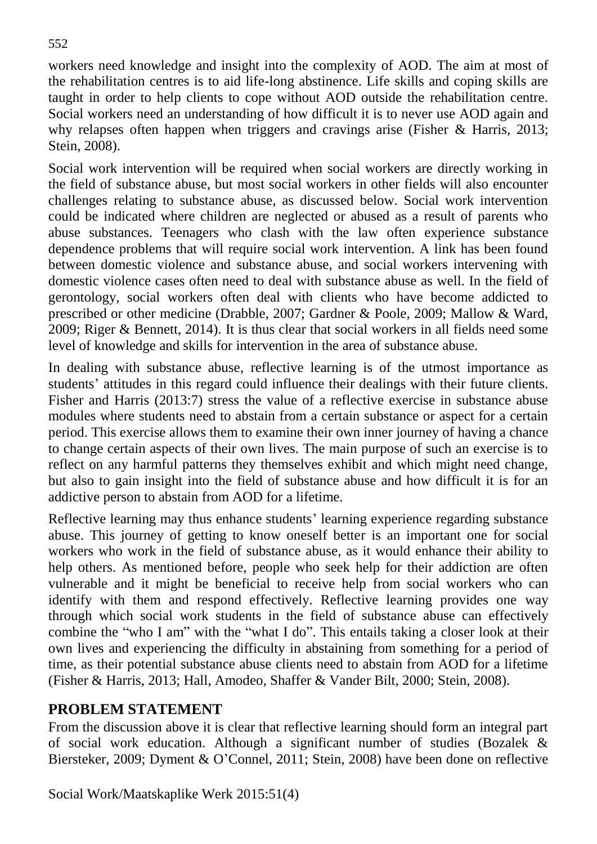workers need knowledge and insight into the complexity of AOD. The aim at most of the rehabilitation centres is to aid life-long abstinence. Life skills and coping skills are taught in order to help clients to cope without AOD outside the rehabilitation centre. Social workers need an understanding of how difficult it is to never use AOD again and why relapses often happen when triggers and cravings arise (Fisher & Harris*,* 2013; Stein, 2008).

Social work intervention will be required when social workers are directly working in the field of substance abuse, but most social workers in other fields will also encounter challenges relating to substance abuse, as discussed below. Social work intervention could be indicated where children are neglected or abused as a result of parents who abuse substances. Teenagers who clash with the law often experience substance dependence problems that will require social work intervention. A link has been found between domestic violence and substance abuse, and social workers intervening with domestic violence cases often need to deal with substance abuse as well. In the field of gerontology, social workers often deal with clients who have become addicted to prescribed or other medicine (Drabble, 2007; Gardner & Poole, 2009; Mallow & Ward, 2009; Riger & Bennett, 2014). It is thus clear that social workers in all fields need some level of knowledge and skills for intervention in the area of substance abuse.

In dealing with substance abuse, reflective learning is of the utmost importance as students' attitudes in this regard could influence their dealings with their future clients. Fisher and Harris (2013:7) stress the value of a reflective exercise in substance abuse modules where students need to abstain from a certain substance or aspect for a certain period. This exercise allows them to examine their own inner journey of having a chance to change certain aspects of their own lives. The main purpose of such an exercise is to reflect on any harmful patterns they themselves exhibit and which might need change, but also to gain insight into the field of substance abuse and how difficult it is for an addictive person to abstain from AOD for a lifetime.

Reflective learning may thus enhance students' learning experience regarding substance abuse. This journey of getting to know oneself better is an important one for social workers who work in the field of substance abuse, as it would enhance their ability to help others. As mentioned before, people who seek help for their addiction are often vulnerable and it might be beneficial to receive help from social workers who can identify with them and respond effectively. Reflective learning provides one way through which social work students in the field of substance abuse can effectively combine the "who I am" with the "what I do". This entails taking a closer look at their own lives and experiencing the difficulty in abstaining from something for a period of time, as their potential substance abuse clients need to abstain from AOD for a lifetime (Fisher & Harris, 2013; Hall, Amodeo, Shaffer & Vander Bilt, 2000; Stein, 2008).

## **PROBLEM STATEMENT**

From the discussion above it is clear that reflective learning should form an integral part of social work education. Although a significant number of studies (Bozalek & Biersteker, 2009; Dyment & O'Connel, 2011; Stein, 2008) have been done on reflective

Social Work/Maatskaplike Werk 2015:51(4)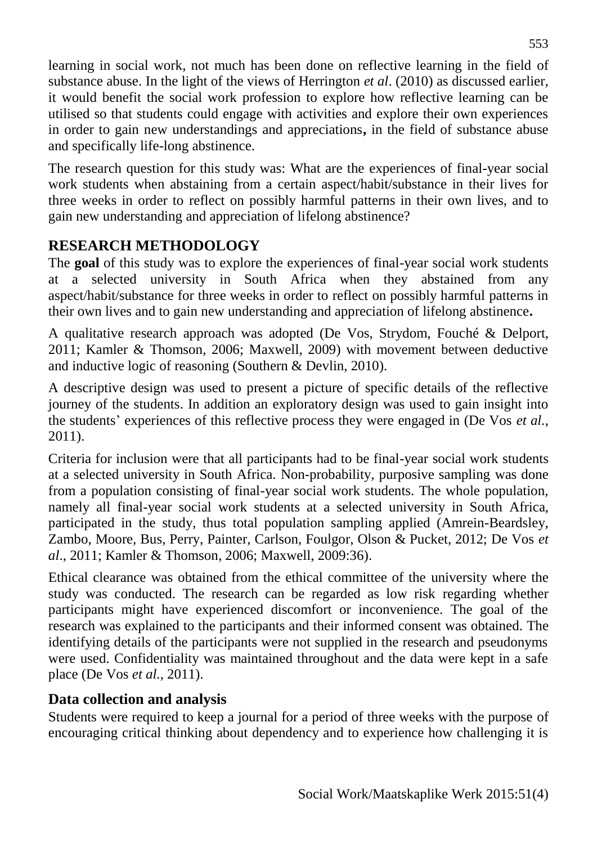learning in social work, not much has been done on reflective learning in the field of substance abuse. In the light of the views of Herrington *et al*. (2010) as discussed earlier, it would benefit the social work profession to explore how reflective learning can be utilised so that students could engage with activities and explore their own experiences in order to gain new understandings and appreciations**,** in the field of substance abuse and specifically life-long abstinence.

The research question for this study was: What are the experiences of final-year social work students when abstaining from a certain aspect/habit/substance in their lives for three weeks in order to reflect on possibly harmful patterns in their own lives, and to gain new understanding and appreciation of lifelong abstinence?

# **RESEARCH METHODOLOGY**

The **goal** of this study was to explore the experiences of final-year social work students at a selected university in South Africa when they abstained from any aspect/habit/substance for three weeks in order to reflect on possibly harmful patterns in their own lives and to gain new understanding and appreciation of lifelong abstinence**.**

A qualitative research approach was adopted (De Vos, Strydom, Fouché & Delport, 2011; Kamler & Thomson, 2006; Maxwell, 2009) with movement between deductive and inductive logic of reasoning (Southern & Devlin, 2010).

A descriptive design was used to present a picture of specific details of the reflective journey of the students. In addition an exploratory design was used to gain insight into the students' experiences of this reflective process they were engaged in (De Vos *et al.*, 2011).

Criteria for inclusion were that all participants had to be final-year social work students at a selected university in South Africa. Non-probability, purposive sampling was done from a population consisting of final-year social work students. The whole population, namely all final-year social work students at a selected university in South Africa, participated in the study, thus total population sampling applied (Amrein-Beardsley, Zambo, Moore, Bus, Perry, Painter, Carlson, Foulgor, Olson & Pucket, 2012; De Vos *et al*., 2011; Kamler & Thomson, 2006; Maxwell, 2009:36).

Ethical clearance was obtained from the ethical committee of the university where the study was conducted. The research can be regarded as low risk regarding whether participants might have experienced discomfort or inconvenience. The goal of the research was explained to the participants and their informed consent was obtained. The identifying details of the participants were not supplied in the research and pseudonyms were used. Confidentiality was maintained throughout and the data were kept in a safe place (De Vos *et al.*, 2011).

## **Data collection and analysis**

Students were required to keep a journal for a period of three weeks with the purpose of encouraging critical thinking about dependency and to experience how challenging it is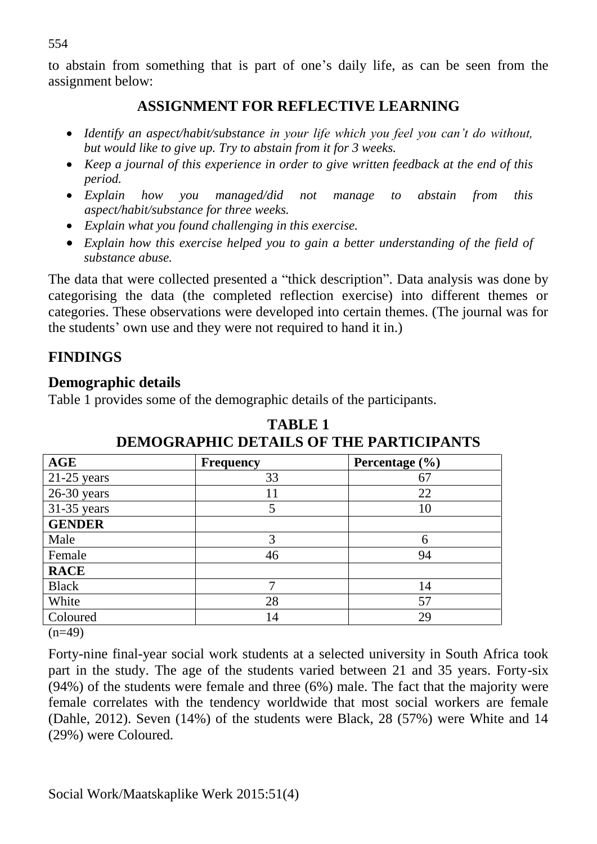to abstain from something that is part of one's daily life, as can be seen from the assignment below:

#### **ASSIGNMENT FOR REFLECTIVE LEARNING**

- *Identify an aspect/habit/substance in your life which you feel you can't do without, but would like to give up. Try to abstain from it for 3 weeks.*
- *Keep a journal of this experience in order to give written feedback at the end of this period.*
- *Explain how you managed/did not manage to abstain from this aspect/habit/substance for three weeks.*
- *Explain what you found challenging in this exercise.*
- *Explain how this exercise helped you to gain a better understanding of the field of substance abuse.*

The data that were collected presented a "thick description". Data analysis was done by categorising the data (the completed reflection exercise) into different themes or categories. These observations were developed into certain themes. (The journal was for the students' own use and they were not required to hand it in.)

## **FINDINGS**

## **Demographic details**

Table 1 provides some of the demographic details of the participants.

| AGE           | <b>Frequency</b> | Percentage (%) |
|---------------|------------------|----------------|
| $21-25$ years | 33               | 67             |
| $26-30$ years | 11               | 22             |
| $31-35$ years | 5                | 10             |
| <b>GENDER</b> |                  |                |
| Male          | 3                | 6              |
| Female        | 46               | 94             |
| <b>RACE</b>   |                  |                |
| <b>Black</b>  | ┑                | 14             |
| White         | 28               | 57             |
| Coloured      | 14               | 29             |

**TABLE 1 DEMOGRAPHIC DETAILS OF THE PARTICIPANTS**

 $(n=49)$ 

Forty-nine final-year social work students at a selected university in South Africa took part in the study. The age of the students varied between 21 and 35 years. Forty-six (94%) of the students were female and three (6%) male. The fact that the majority were female correlates with the tendency worldwide that most social workers are female (Dahle, 2012). Seven (14%) of the students were Black, 28 (57%) were White and 14 (29%) were Coloured.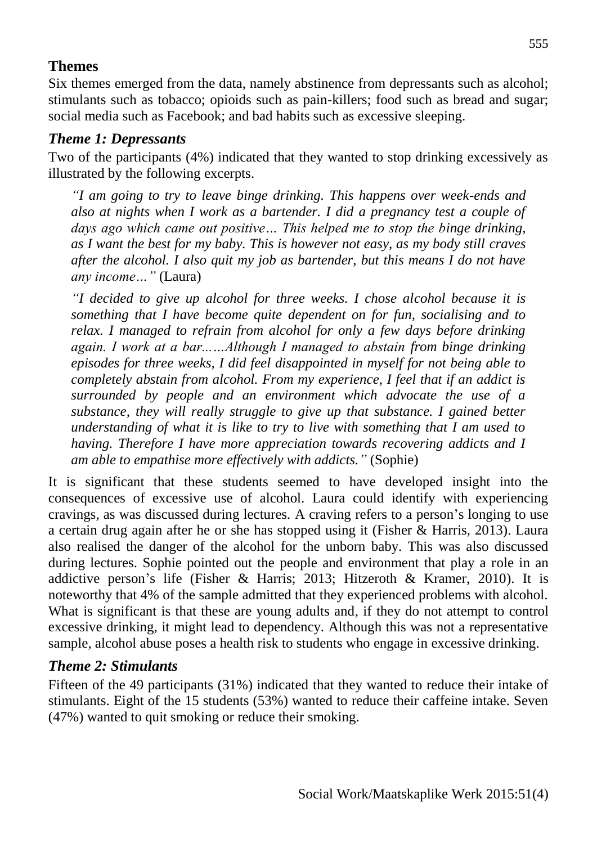## **Themes**

Six themes emerged from the data, namely abstinence from depressants such as alcohol; stimulants such as tobacco; opioids such as pain-killers; food such as bread and sugar; social media such as Facebook; and bad habits such as excessive sleeping.

#### *Theme 1: Depressants*

Two of the participants (4%) indicated that they wanted to stop drinking excessively as illustrated by the following excerpts.

*"I am going to try to leave binge drinking. This happens over week-ends and also at nights when I work as a bartender. I did a pregnancy test a couple of days ago which came out positive… This helped me to stop the binge drinking, as I want the best for my baby. This is however not easy, as my body still craves after the alcohol. I also quit my job as bartender, but this means I do not have any income…"* (Laura)

*"I decided to give up alcohol for three weeks. I chose alcohol because it is something that I have become quite dependent on for fun, socialising and to relax. I managed to refrain from alcohol for only a few days before drinking again. I work at a bar...…Although I managed to abstain from binge drinking episodes for three weeks, I did feel disappointed in myself for not being able to completely abstain from alcohol. From my experience, I feel that if an addict is surrounded by people and an environment which advocate the use of a substance, they will really struggle to give up that substance. I gained better understanding of what it is like to try to live with something that I am used to having. Therefore I have more appreciation towards recovering addicts and I am able to empathise more effectively with addicts."* (Sophie)

It is significant that these students seemed to have developed insight into the consequences of excessive use of alcohol. Laura could identify with experiencing cravings, as was discussed during lectures. A craving refers to a person's longing to use a certain drug again after he or she has stopped using it (Fisher & Harris, 2013). Laura also realised the danger of the alcohol for the unborn baby. This was also discussed during lectures. Sophie pointed out the people and environment that play a role in an addictive person's life (Fisher & Harris; 2013; Hitzeroth & Kramer, 2010). It is noteworthy that 4% of the sample admitted that they experienced problems with alcohol. What is significant is that these are young adults and, if they do not attempt to control excessive drinking, it might lead to dependency. Although this was not a representative sample, alcohol abuse poses a health risk to students who engage in excessive drinking.

## *Theme 2: Stimulants*

Fifteen of the 49 participants (31%) indicated that they wanted to reduce their intake of stimulants. Eight of the 15 students (53%) wanted to reduce their caffeine intake. Seven (47%) wanted to quit smoking or reduce their smoking.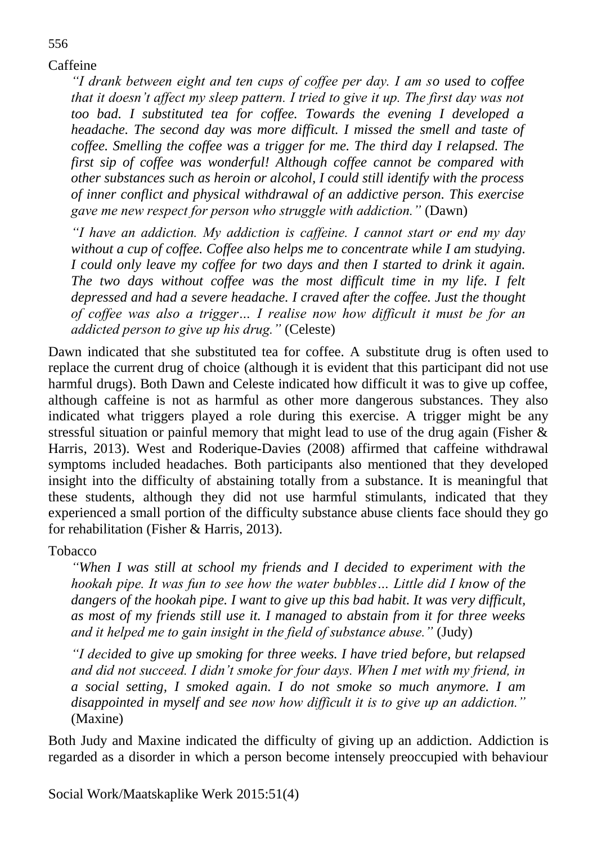Caffeine

556

*"I drank between eight and ten cups of coffee per day. I am so used to coffee that it doesn't affect my sleep pattern. I tried to give it up. The first day was not too bad. I substituted tea for coffee. Towards the evening I developed a headache. The second day was more difficult. I missed the smell and taste of coffee. Smelling the coffee was a trigger for me. The third day I relapsed. The first sip of coffee was wonderful! Although coffee cannot be compared with other substances such as heroin or alcohol, I could still identify with the process of inner conflict and physical withdrawal of an addictive person. This exercise gave me new respect for person who struggle with addiction."* (Dawn)

*"I have an addiction. My addiction is caffeine. I cannot start or end my day without a cup of coffee. Coffee also helps me to concentrate while I am studying. I could only leave my coffee for two days and then I started to drink it again. The two days without coffee was the most difficult time in my life. I felt depressed and had a severe headache. I craved after the coffee. Just the thought of coffee was also a trigger… I realise now how difficult it must be for an addicted person to give up his drug."* (Celeste)

Dawn indicated that she substituted tea for coffee. A substitute drug is often used to replace the current drug of choice (although it is evident that this participant did not use harmful drugs). Both Dawn and Celeste indicated how difficult it was to give up coffee, although caffeine is not as harmful as other more dangerous substances. They also indicated what triggers played a role during this exercise. A trigger might be any stressful situation or painful memory that might lead to use of the drug again (Fisher & Harris, 2013). West and Roderique-Davies (2008) affirmed that caffeine withdrawal symptoms included headaches. Both participants also mentioned that they developed insight into the difficulty of abstaining totally from a substance. It is meaningful that these students, although they did not use harmful stimulants, indicated that they experienced a small portion of the difficulty substance abuse clients face should they go for rehabilitation (Fisher & Harris, 2013).

Tobacco

*"When I was still at school my friends and I decided to experiment with the hookah pipe. It was fun to see how the water bubbles... Little did I know of the dangers of the hookah pipe. I want to give up this bad habit. It was very difficult, as most of my friends still use it. I managed to abstain from it for three weeks and it helped me to gain insight in the field of substance abuse."* (Judy)

*"I decided to give up smoking for three weeks. I have tried before, but relapsed and did not succeed. I didn't smoke for four days. When I met with my friend, in a social setting, I smoked again. I do not smoke so much anymore. I am disappointed in myself and see now how difficult it is to give up an addiction."* (Maxine)

Both Judy and Maxine indicated the difficulty of giving up an addiction. Addiction is regarded as a disorder in which a person become intensely preoccupied with behaviour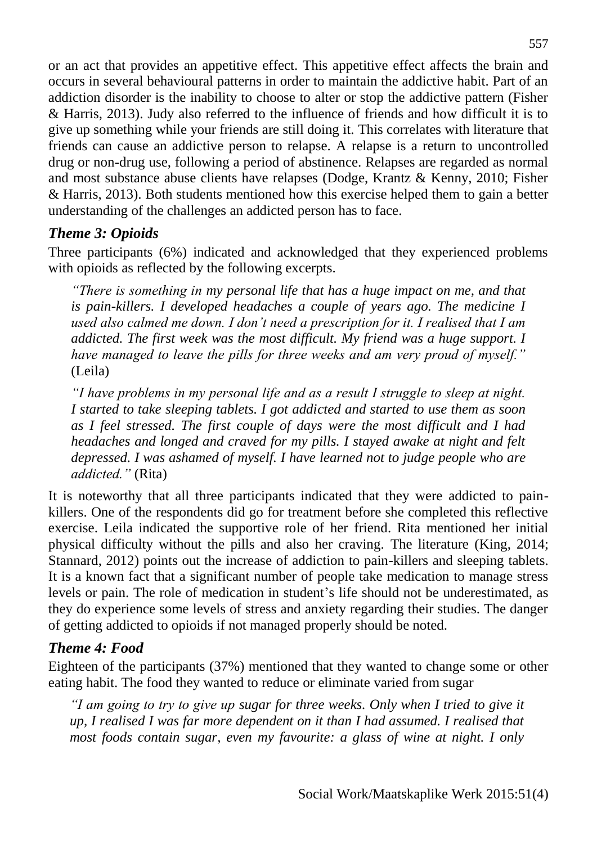or an act that provides an appetitive effect. This appetitive effect affects the brain and occurs in several behavioural patterns in order to maintain the addictive habit. Part of an addiction disorder is the inability to choose to alter or stop the addictive pattern (Fisher & Harris, 2013). Judy also referred to the influence of friends and how difficult it is to give up something while your friends are still doing it. This correlates with literature that friends can cause an addictive person to relapse. A relapse is a return to uncontrolled drug or non-drug use, following a period of abstinence. Relapses are regarded as normal and most substance abuse clients have relapses (Dodge, Krantz & Kenny, 2010; Fisher & Harris, 2013). Both students mentioned how this exercise helped them to gain a better understanding of the challenges an addicted person has to face.

## *Theme 3: Opioids*

Three participants (6%) indicated and acknowledged that they experienced problems with opioids as reflected by the following excerpts.

*"There is something in my personal life that has a huge impact on me, and that is pain-killers. I developed headaches a couple of years ago. The medicine I used also calmed me down. I don't need a prescription for it. I realised that I am addicted. The first week was the most difficult. My friend was a huge support. I have managed to leave the pills for three weeks and am very proud of myself."*  (Leila)

*"I have problems in my personal life and as a result I struggle to sleep at night. I started to take sleeping tablets. I got addicted and started to use them as soon as I feel stressed. The first couple of days were the most difficult and I had headaches and longed and craved for my pills. I stayed awake at night and felt depressed. I was ashamed of myself. I have learned not to judge people who are addicted."* (Rita)

It is noteworthy that all three participants indicated that they were addicted to painkillers. One of the respondents did go for treatment before she completed this reflective exercise. Leila indicated the supportive role of her friend. Rita mentioned her initial physical difficulty without the pills and also her craving. The literature (King, 2014; Stannard, 2012) points out the increase of addiction to pain-killers and sleeping tablets. It is a known fact that a significant number of people take medication to manage stress levels or pain. The role of medication in student's life should not be underestimated, as they do experience some levels of stress and anxiety regarding their studies. The danger of getting addicted to opioids if not managed properly should be noted.

## *Theme 4: Food*

Eighteen of the participants (37%) mentioned that they wanted to change some or other eating habit. The food they wanted to reduce or eliminate varied from sugar

*"I am going to try to give up sugar for three weeks. Only when I tried to give it up, I realised I was far more dependent on it than I had assumed. I realised that most foods contain sugar, even my favourite: a glass of wine at night. I only*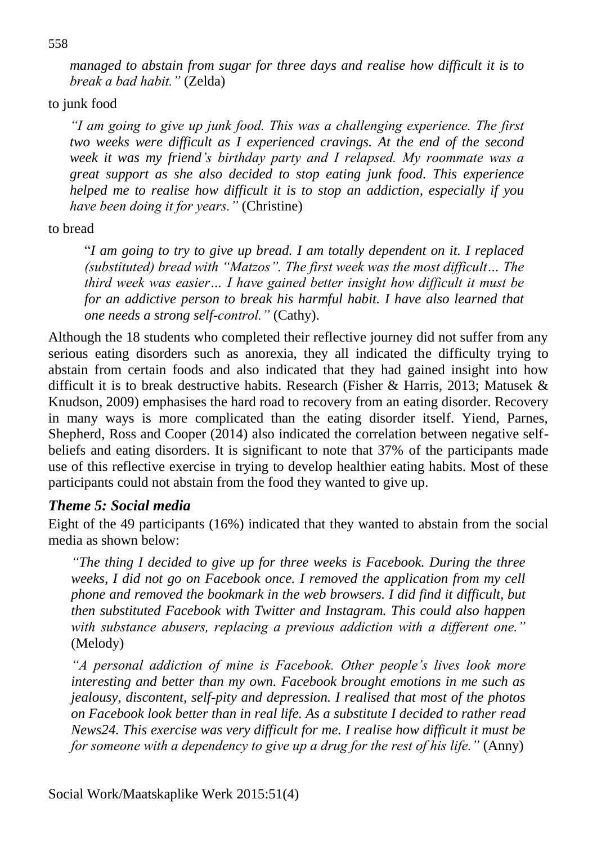*managed to abstain from sugar for three days and realise how difficult it is to break a bad habit."* (Zelda)

to junk food

*"I am going to give up junk food. This was a challenging experience. The first two weeks were difficult as I experienced cravings. At the end of the second week it was my friend's birthday party and I relapsed. My roommate was a great support as she also decided to stop eating junk food. This experience helped me to realise how difficult it is to stop an addiction, especially if you have been doing it for years."* (Christine)

to bread

"*I am going to try to give up bread. I am totally dependent on it. I replaced (substituted) bread with "Matzos". The first week was the most difficult… The third week was easier… I have gained better insight how difficult it must be for an addictive person to break his harmful habit. I have also learned that one needs a strong self-control."* (Cathy).

Although the 18 students who completed their reflective journey did not suffer from any serious eating disorders such as anorexia, they all indicated the difficulty trying to abstain from certain foods and also indicated that they had gained insight into how difficult it is to break destructive habits. Research (Fisher & Harris, 2013; Matusek & Knudson, 2009) emphasises the hard road to recovery from an eating disorder. Recovery in many ways is more complicated than the eating disorder itself. Yiend, Parnes, Shepherd, Ross and Cooper (2014) also indicated the correlation between negative selfbeliefs and eating disorders. It is significant to note that 37% of the participants made use of this reflective exercise in trying to develop healthier eating habits. Most of these participants could not abstain from the food they wanted to give up.

#### *Theme 5: Social media*

Eight of the 49 participants (16%) indicated that they wanted to abstain from the social media as shown below:

*"The thing I decided to give up for three weeks is Facebook. During the three weeks, I did not go on Facebook once. I removed the application from my cell phone and removed the bookmark in the web browsers. I did find it difficult, but then substituted Facebook with Twitter and Instagram. This could also happen with substance abusers, replacing a previous addiction with a different one."*  (Melody)

*"A personal addiction of mine is Facebook. Other people's lives look more interesting and better than my own. Facebook brought emotions in me such as jealousy, discontent, self-pity and depression. I realised that most of the photos on Facebook look better than in real life. As a substitute I decided to rather read News24. This exercise was very difficult for me. I realise how difficult it must be for someone with a dependency to give up a drug for the rest of his life."* (Anny)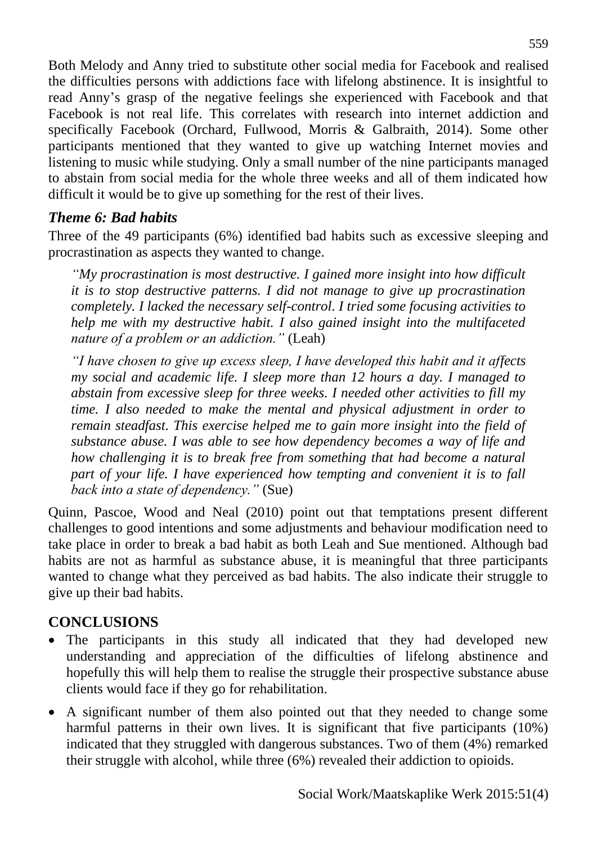Both Melody and Anny tried to substitute other social media for Facebook and realised the difficulties persons with addictions face with lifelong abstinence. It is insightful to read Anny's grasp of the negative feelings she experienced with Facebook and that Facebook is not real life. This correlates with research into internet addiction and specifically Facebook (Orchard, Fullwood, Morris & Galbraith, 2014). Some other participants mentioned that they wanted to give up watching Internet movies and listening to music while studying. Only a small number of the nine participants managed to abstain from social media for the whole three weeks and all of them indicated how difficult it would be to give up something for the rest of their lives.

#### *Theme 6: Bad habits*

Three of the 49 participants (6%) identified bad habits such as excessive sleeping and procrastination as aspects they wanted to change.

*"My procrastination is most destructive. I gained more insight into how difficult it is to stop destructive patterns. I did not manage to give up procrastination completely. I lacked the necessary self-control. I tried some focusing activities to help me with my destructive habit. I also gained insight into the multifaceted nature of a problem or an addiction."* (Leah)

*"I have chosen to give up excess sleep, I have developed this habit and it affects my social and academic life. I sleep more than 12 hours a day. I managed to abstain from excessive sleep for three weeks. I needed other activities to fill my time. I also needed to make the mental and physical adjustment in order to remain steadfast. This exercise helped me to gain more insight into the field of substance abuse. I was able to see how dependency becomes a way of life and how challenging it is to break free from something that had become a natural part of your life. I have experienced how tempting and convenient it is to fall back into a state of dependency."* (Sue)

Quinn, Pascoe, Wood and Neal (2010) point out that temptations present different challenges to good intentions and some adjustments and behaviour modification need to take place in order to break a bad habit as both Leah and Sue mentioned. Although bad habits are not as harmful as substance abuse, it is meaningful that three participants wanted to change what they perceived as bad habits. The also indicate their struggle to give up their bad habits.

## **CONCLUSIONS**

- The participants in this study all indicated that they had developed new understanding and appreciation of the difficulties of lifelong abstinence and hopefully this will help them to realise the struggle their prospective substance abuse clients would face if they go for rehabilitation.
- A significant number of them also pointed out that they needed to change some harmful patterns in their own lives. It is significant that five participants (10%) indicated that they struggled with dangerous substances. Two of them (4%) remarked their struggle with alcohol, while three (6%) revealed their addiction to opioids.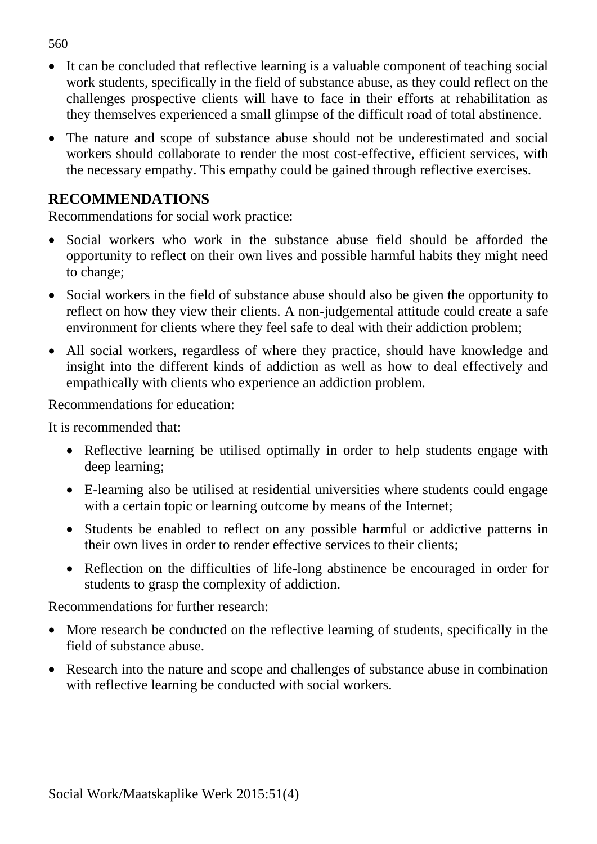It can be concluded that reflective learning is a valuable component of teaching social work students, specifically in the field of substance abuse, as they could reflect on the challenges prospective clients will have to face in their efforts at rehabilitation as they themselves experienced a small glimpse of the difficult road of total abstinence.

 The nature and scope of substance abuse should not be underestimated and social workers should collaborate to render the most cost-effective, efficient services, with the necessary empathy. This empathy could be gained through reflective exercises.

#### **RECOMMENDATIONS**

Recommendations for social work practice:

- Social workers who work in the substance abuse field should be afforded the opportunity to reflect on their own lives and possible harmful habits they might need to change;
- Social workers in the field of substance abuse should also be given the opportunity to reflect on how they view their clients. A non-judgemental attitude could create a safe environment for clients where they feel safe to deal with their addiction problem;
- All social workers, regardless of where they practice, should have knowledge and insight into the different kinds of addiction as well as how to deal effectively and empathically with clients who experience an addiction problem.

Recommendations for education:

It is recommended that:

- Reflective learning be utilised optimally in order to help students engage with deep learning;
- E-learning also be utilised at residential universities where students could engage with a certain topic or learning outcome by means of the Internet;
- Students be enabled to reflect on any possible harmful or addictive patterns in their own lives in order to render effective services to their clients;
- Reflection on the difficulties of life-long abstinence be encouraged in order for students to grasp the complexity of addiction.

Recommendations for further research:

- More research be conducted on the reflective learning of students, specifically in the field of substance abuse.
- Research into the nature and scope and challenges of substance abuse in combination with reflective learning be conducted with social workers.

560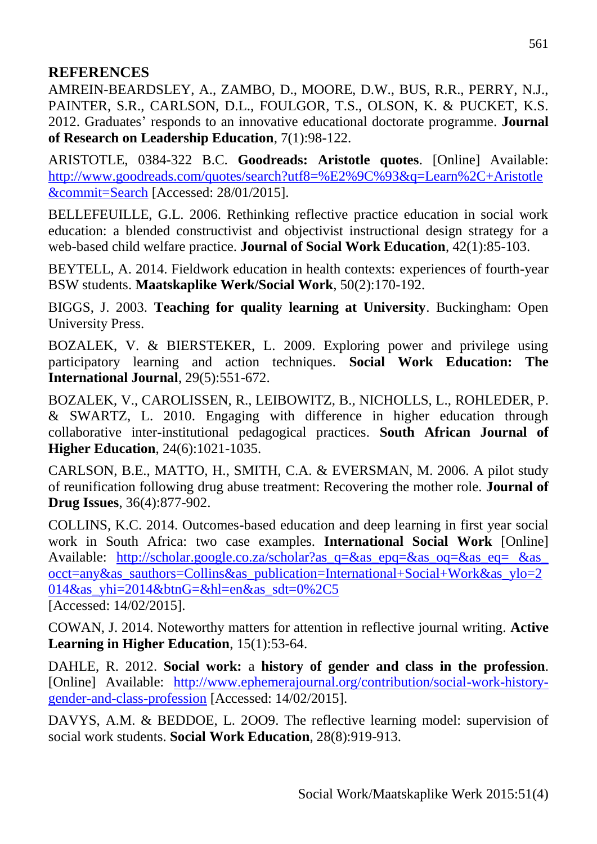#### **REFERENCES**

AMREIN-BEARDSLEY, A., ZAMBO, D., MOORE, D.W., BUS, R.R., PERRY, N.J., PAINTER, S.R., CARLSON, D.L., FOULGOR, T.S., OLSON, K. & PUCKET, K.S. 2012. Graduates' responds to an innovative educational doctorate programme. **Journal of Research on Leadership Education**, 7(1):98-122.

ARISTOTLE, 0384-322 B.C. **Goodreads: Aristotle quotes**. [Online] Available: [http://www.goodreads.com/quotes/search?utf8=%E2%9C%93&q=Learn%2C+Aristotle](http://www.goodreads.com/quotes/search?utf8=%E2%9C%93&q=Learn%2C+Aristotle&commit=Search) [&commit=Search](http://www.goodreads.com/quotes/search?utf8=%E2%9C%93&q=Learn%2C+Aristotle&commit=Search) [Accessed: 28/01/2015].

BELLEFEUILLE, G.L. 2006. Rethinking reflective practice education in social work education: a blended constructivist and objectivist instructional design strategy for a web-based child welfare practice. **Journal of Social Work Education**, 42(1):85-103.

BEYTELL, A. 2014. Fieldwork education in health contexts: experiences of fourth-year BSW students. **Maatskaplike Werk/Social Work**, 50(2):170-192.

BIGGS, J. 2003. **Teaching for quality learning at University**. Buckingham: Open University Press.

BOZALEK, V. & BIERSTEKER, L. 2009. Exploring power and privilege using participatory learning and action techniques. **Social Work Education: The International Journal**, 29(5):551-672.

BOZALEK, V., CAROLISSEN, R., LEIBOWITZ, B., NICHOLLS, L., ROHLEDER, P. & SWARTZ, L. 2010. Engaging with difference in higher education through collaborative inter-institutional pedagogical practices. **South African Journal of Higher Education**, 24(6):1021-1035.

CARLSON, B.E., MATTO, H., SMITH, C.A. & EVERSMAN, M. 2006. A pilot study of reunification following drug abuse treatment: Recovering the mother role. **Journal of Drug Issues**, 36(4):877-902.

COLLINS, K.C. 2014. Outcomes-based education and deep learning in first year social work in South Africa: two case examples. **International Social Work** [Online] Available: http://scholar.google.co.za/scholar?as q=&as\_epq=&as\_oq=&as\_eq= &as [occt=any&as\\_sauthors=Collins&as\\_publication=International+Social+Work&as\\_ylo=2](http://scholar.google.co.za/scholar?as_q=&as_epq=&as_oq=&as_eq=%20&as_%20occt=any&as_sauthors=Collins&as_publication=International+Social+Work&as_ylo=2014&as_yhi=2014&btnG=&hl=en&as_sdt=0%2C5) [014&as\\_yhi=2014&btnG=&hl=en&as\\_sdt=0%2C5](http://scholar.google.co.za/scholar?as_q=&as_epq=&as_oq=&as_eq=%20&as_%20occt=any&as_sauthors=Collins&as_publication=International+Social+Work&as_ylo=2014&as_yhi=2014&btnG=&hl=en&as_sdt=0%2C5) [Accessed: 14/02/2015].

COWAN, J. 2014. Noteworthy matters for attention in reflective journal writing. **Active Learning in Higher Education**, 15(1):53-64.

DAHLE, R. 2012. **Social work:** a **history of gender and class in the profession**. [Online] Available: [http://www.ephemerajournal.org/contribution/social-work-history](http://www.ephemerajournal.org/contribution/social-work-history-gender-and-class-profession)[gender-and-class-profession](http://www.ephemerajournal.org/contribution/social-work-history-gender-and-class-profession) [Accessed: 14/02/2015].

DAVYS, A.M. & BEDDOE, L. 2009. The reflective learning model: supervision of social work students. **Social Work Education**, 28(8):919-913.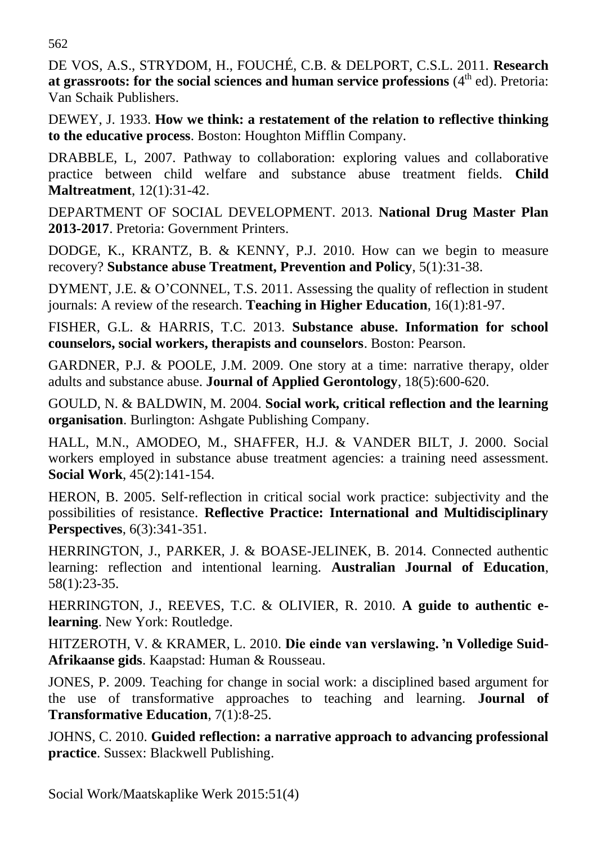562

DE VOS, A.S., STRYDOM, H., FOUCHÉ, C.B. & DELPORT, C.S.L. 2011. **Research**  at grassroots: for the social sciences and human service professions (4<sup>th</sup> ed). Pretoria: Van Schaik Publishers.

DEWEY, J. 1933. **How we think: a restatement of the relation to reflective thinking to the educative process**. Boston: Houghton Mifflin Company.

DRABBLE, L, 2007. Pathway to collaboration: exploring values and collaborative practice between child welfare and substance abuse treatment fields. **Child Maltreatment**, 12(1):31-42.

DEPARTMENT OF SOCIAL DEVELOPMENT. 2013. **National Drug Master Plan 2013-2017**. Pretoria: Government Printers.

DODGE, K., KRANTZ, B. & KENNY, P.J. 2010. How can we begin to measure recovery? **Substance abuse Treatment, Prevention and Policy**, 5(1):31-38.

DYMENT, J.E. & O'CONNEL, T.S. 2011. Assessing the quality of reflection in student journals: A review of the research. **Teaching in Higher Education**, 16(1):81-97.

FISHER, G.L. & HARRIS, T.C. 2013. **Substance abuse. Information for school counselors, social workers, therapists and counselors**. Boston: Pearson.

GARDNER, P.J. & POOLE, J.M. 2009. One story at a time: narrative therapy, older adults and substance abuse. **Journal of Applied Gerontology**, 18(5):600-620.

GOULD, N. & BALDWIN, M. 2004. **Social work, critical reflection and the learning organisation**. Burlington: Ashgate Publishing Company.

HALL, M.N., AMODEO, M., SHAFFER, H.J. & VANDER BILT, J. 2000. Social workers employed in substance abuse treatment agencies: a training need assessment. **Social Work**, 45(2):141-154.

HERON, B. 2005. Self-reflection in critical social work practice: subjectivity and the possibilities of resistance. **Reflective Practice: International and Multidisciplinary Perspectives**, 6(3):341-351.

HERRINGTON, J., PARKER, J. & BOASE-JELINEK, B. 2014. Connected authentic learning: reflection and intentional learning. **Australian Journal of Education**, 58(1):23-35.

HERRINGTON, J., REEVES, T.C. & OLIVIER, R. 2010. **A guide to authentic elearning**. New York: Routledge.

HITZEROTH, V. & KRAMER, L. 2010. **Die einde van verslawing. 'n Volledige Suid-Afrikaanse gids**. Kaapstad: Human & Rousseau.

JONES, P. 2009. Teaching for change in social work: a disciplined based argument for the use of transformative approaches to teaching and learning. **Journal of Transformative Education**, 7(1):8-25.

JOHNS, C. 2010. **Guided reflection: a narrative approach to advancing professional practice**. Sussex: Blackwell Publishing.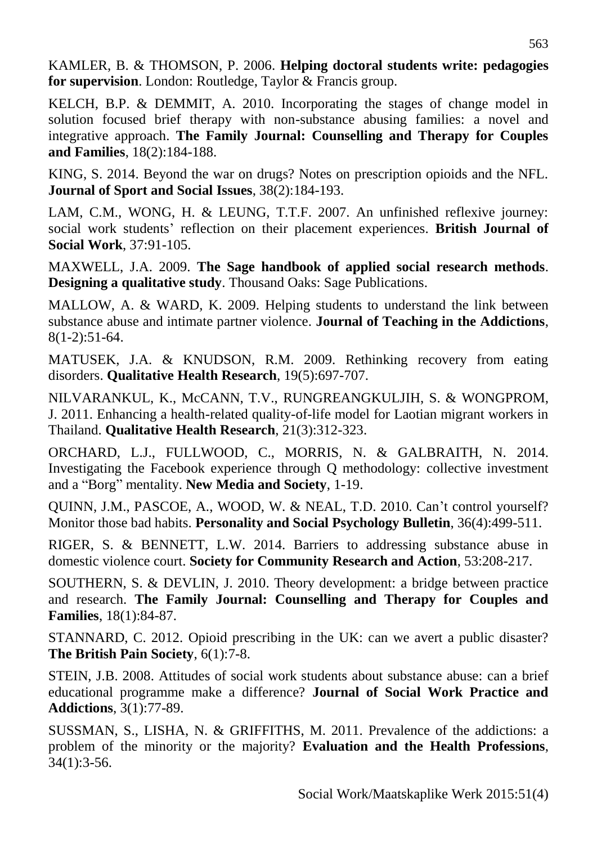KAMLER, B. & THOMSON, P. 2006. **Helping doctoral students write: pedagogies for supervision**. London: Routledge, Taylor & Francis group.

KELCH, B.P. & DEMMIT, A. 2010. Incorporating the stages of change model in solution focused brief therapy with non-substance abusing families: a novel and integrative approach. **The Family Journal: Counselling and Therapy for Couples and Families**, 18(2):184-188.

KING, S. 2014. Beyond the war on drugs? Notes on prescription opioids and the NFL. **Journal of Sport and Social Issues**, 38(2):184-193.

LAM, C.M., WONG, H. & LEUNG, T.T.F. 2007. An unfinished reflexive journey: social work students' reflection on their placement experiences. **British Journal of Social Work**, 37:91-105.

MAXWELL, J.A. 2009. **The Sage handbook of applied social research methods**. **Designing a qualitative study**. Thousand Oaks: Sage Publications.

MALLOW, A. & WARD, K. 2009. Helping students to understand the link between substance abuse and intimate partner violence. **Journal of Teaching in the Addictions**, 8(1-2):51-64.

MATUSEK, J.A. & KNUDSON, R.M. 2009. Rethinking recovery from eating disorders. **Qualitative Health Research**, 19(5):697-707.

NILVARANKUL, K., McCANN, T.V., RUNGREANGKULJIH, S. & WONGPROM, J. 2011. Enhancing a health-related quality-of-life model for Laotian migrant workers in Thailand. **Qualitative Health Research**, 21(3):312-323.

ORCHARD, L.J., FULLWOOD, C., MORRIS, N. & GALBRAITH, N. 2014. Investigating the Facebook experience through Q methodology: collective investment and a "Borg" mentality. **New Media and Society**, 1-19.

QUINN, J.M., PASCOE, A., WOOD, W. & NEAL, T.D. 2010. Can't control yourself? Monitor those bad habits. **Personality and Social Psychology Bulletin**, 36(4):499-511.

RIGER, S. & BENNETT, L.W. 2014. Barriers to addressing substance abuse in domestic violence court. **Society for Community Research and Action**, 53:208-217.

SOUTHERN, S. & DEVLIN, J. 2010. Theory development: a bridge between practice and research. **The Family Journal: Counselling and Therapy for Couples and Families**, 18(1):84-87.

STANNARD, C. 2012. Opioid prescribing in the UK: can we avert a public disaster? **The British Pain Society**, 6(1):7-8.

STEIN, J.B. 2008. Attitudes of social work students about substance abuse: can a brief educational programme make a difference? **Journal of Social Work Practice and Addictions**, 3(1):77-89.

SUSSMAN, S., LISHA, N. & GRIFFITHS, M. 2011. Prevalence of the addictions: a problem of the minority or the majority? **Evaluation and the Health Professions**, 34(1):3-56.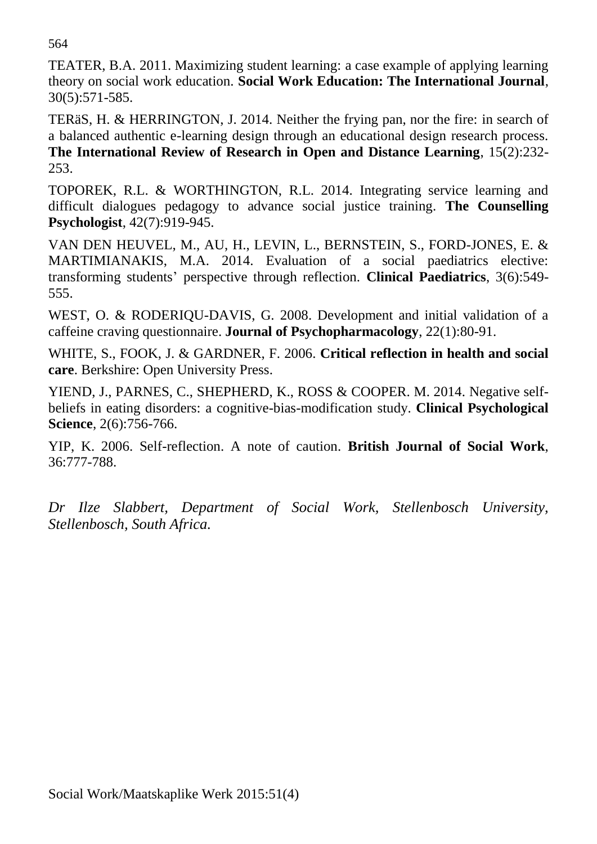564

TEATER, B.A. 2011. Maximizing student learning: a case example of applying learning theory on social work education. **Social Work Education: The International Journal**, 30(5):571-585.

TERäS, H. & HERRINGTON, J. 2014. Neither the frying pan, nor the fire: in search of a balanced authentic e-learning design through an educational design research process. **The International Review of Research in Open and Distance Learning**, 15(2):232- 253.

TOPOREK, R.L. & WORTHINGTON, R.L. 2014. Integrating service learning and difficult dialogues pedagogy to advance social justice training. **The Counselling Psychologist**, 42(7):919-945.

VAN DEN HEUVEL, M., AU, H., LEVIN, L., BERNSTEIN, S., FORD-JONES, E. & MARTIMIANAKIS, M.A. 2014. Evaluation of a social paediatrics elective: transforming students' perspective through reflection. **Clinical Paediatrics**, 3(6):549- 555.

WEST, O. & RODERIQU-DAVIS, G. 2008. Development and initial validation of a caffeine craving questionnaire. **Journal of Psychopharmacology**, 22(1):80-91.

WHITE, S., FOOK, J. & GARDNER, F. 2006. **Critical reflection in health and social care**. Berkshire: Open University Press.

YIEND, J., PARNES, C., SHEPHERD, K., ROSS & COOPER. M. 2014. Negative selfbeliefs in eating disorders: a cognitive-bias-modification study. **Clinical Psychological Science**, 2(6):756-766.

YIP, K. 2006. Self-reflection. A note of caution. **British Journal of Social Work**, 36:777-788.

*Dr Ilze Slabbert, Department of Social Work, Stellenbosch University, Stellenbosch, South Africa.*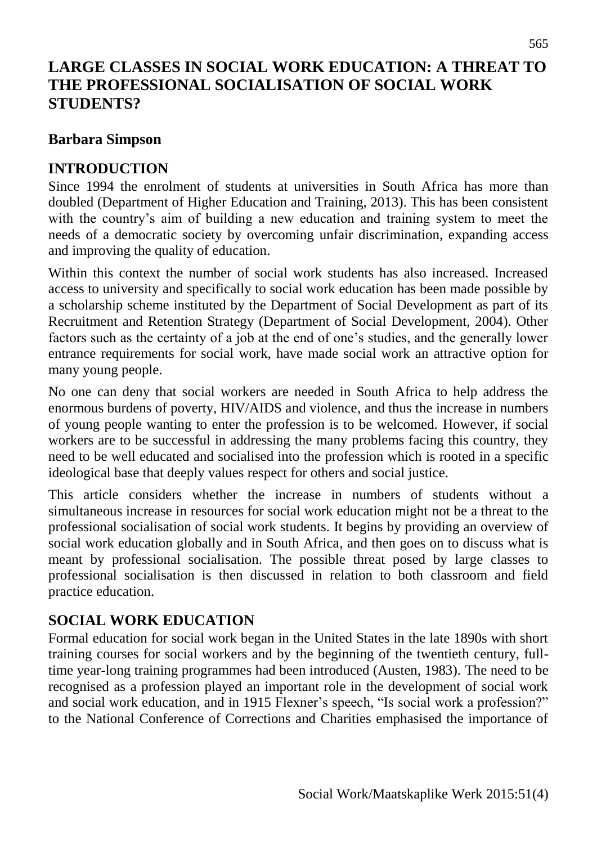# **LARGE CLASSES IN SOCIAL WORK EDUCATION: A THREAT TO THE PROFESSIONAL SOCIALISATION OF SOCIAL WORK STUDENTS?**

#### **Barbara Simpson**

## **INTRODUCTION**

Since 1994 the enrolment of students at universities in South Africa has more than doubled (Department of Higher Education and Training, 2013). This has been consistent with the country's aim of building a new education and training system to meet the needs of a democratic society by overcoming unfair discrimination, expanding access and improving the quality of education.

Within this context the number of social work students has also increased. Increased access to university and specifically to social work education has been made possible by a scholarship scheme instituted by the Department of Social Development as part of its Recruitment and Retention Strategy (Department of Social Development, 2004). Other factors such as the certainty of a job at the end of one's studies, and the generally lower entrance requirements for social work, have made social work an attractive option for many young people.

No one can deny that social workers are needed in South Africa to help address the enormous burdens of poverty, HIV/AIDS and violence, and thus the increase in numbers of young people wanting to enter the profession is to be welcomed. However, if social workers are to be successful in addressing the many problems facing this country, they need to be well educated and socialised into the profession which is rooted in a specific ideological base that deeply values respect for others and social justice.

This article considers whether the increase in numbers of students without a simultaneous increase in resources for social work education might not be a threat to the professional socialisation of social work students. It begins by providing an overview of social work education globally and in South Africa, and then goes on to discuss what is meant by professional socialisation. The possible threat posed by large classes to professional socialisation is then discussed in relation to both classroom and field practice education.

## **SOCIAL WORK EDUCATION**

Formal education for social work began in the United States in the late 1890s with short training courses for social workers and by the beginning of the twentieth century, fulltime year-long training programmes had been introduced (Austen, 1983). The need to be recognised as a profession played an important role in the development of social work and social work education, and in 1915 Flexner's speech, "Is social work a profession?" to the National Conference of Corrections and Charities emphasised the importance of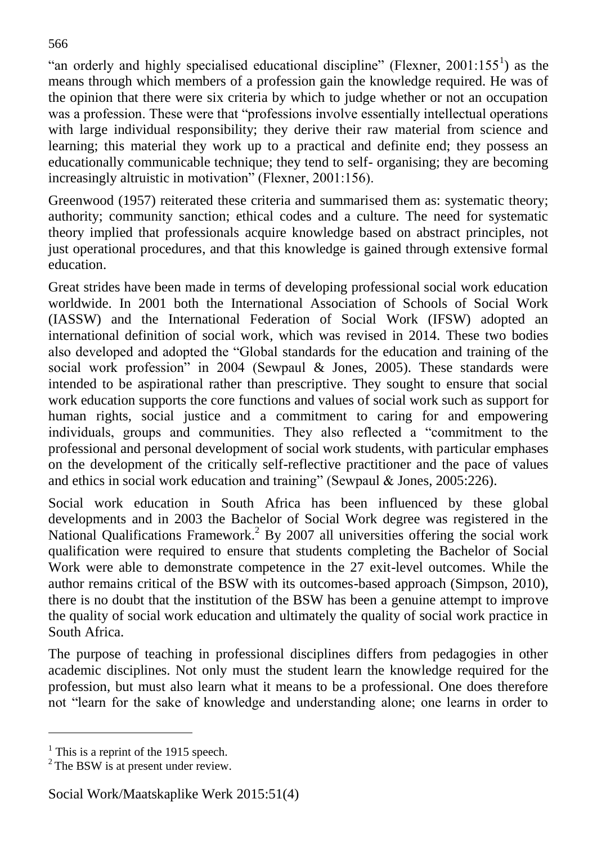"an orderly and highly specialised educational discipline" (Flexner,  $2001:155<sup>1</sup>$ ) as the means through which members of a profession gain the knowledge required. He was of the opinion that there were six criteria by which to judge whether or not an occupation was a profession. These were that "professions involve essentially intellectual operations with large individual responsibility; they derive their raw material from science and learning; this material they work up to a practical and definite end; they possess an educationally communicable technique; they tend to self- organising; they are becoming increasingly altruistic in motivation" (Flexner, 2001:156).

Greenwood (1957) reiterated these criteria and summarised them as: systematic theory; authority; community sanction; ethical codes and a culture. The need for systematic theory implied that professionals acquire knowledge based on abstract principles, not just operational procedures, and that this knowledge is gained through extensive formal education.

Great strides have been made in terms of developing professional social work education worldwide. In 2001 both the International Association of Schools of Social Work (IASSW) and the International Federation of Social Work (IFSW) adopted an international definition of social work, which was revised in 2014. These two bodies also developed and adopted the "Global standards for the education and training of the social work profession" in 2004 (Sewpaul & Jones, 2005). These standards were intended to be aspirational rather than prescriptive. They sought to ensure that social work education supports the core functions and values of social work such as support for human rights, social justice and a commitment to caring for and empowering individuals, groups and communities. They also reflected a "commitment to the professional and personal development of social work students, with particular emphases on the development of the critically self-reflective practitioner and the pace of values and ethics in social work education and training" (Sewpaul & Jones, 2005:226).

Social work education in South Africa has been influenced by these global developments and in 2003 the Bachelor of Social Work degree was registered in the National Qualifications Framework.<sup>2</sup> By 2007 all universities offering the social work qualification were required to ensure that students completing the Bachelor of Social Work were able to demonstrate competence in the 27 exit-level outcomes. While the author remains critical of the BSW with its outcomes-based approach (Simpson, 2010), there is no doubt that the institution of the BSW has been a genuine attempt to improve the quality of social work education and ultimately the quality of social work practice in South Africa.

The purpose of teaching in professional disciplines differs from pedagogies in other academic disciplines. Not only must the student learn the knowledge required for the profession, but must also learn what it means to be a professional. One does therefore not "learn for the sake of knowledge and understanding alone; one learns in order to

l

 $<sup>1</sup>$  This is a reprint of the 1915 speech.</sup>

 $2$  The BSW is at present under review.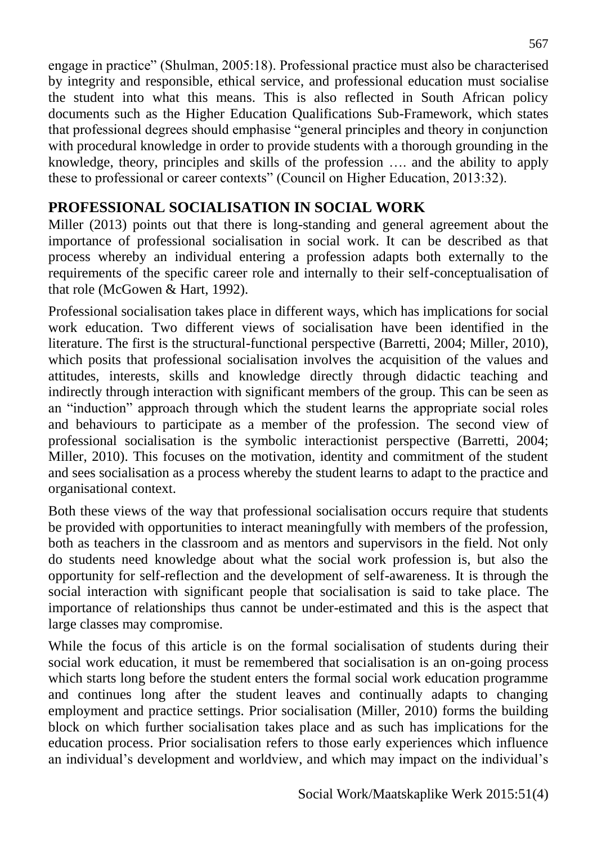engage in practice" (Shulman, 2005:18). Professional practice must also be characterised by integrity and responsible, ethical service, and professional education must socialise the student into what this means. This is also reflected in South African policy documents such as the Higher Education Qualifications Sub-Framework, which states that professional degrees should emphasise "general principles and theory in conjunction with procedural knowledge in order to provide students with a thorough grounding in the knowledge, theory, principles and skills of the profession …. and the ability to apply these to professional or career contexts" (Council on Higher Education, 2013:32).

# **PROFESSIONAL SOCIALISATION IN SOCIAL WORK**

Miller (2013) points out that there is long-standing and general agreement about the importance of professional socialisation in social work. It can be described as that process whereby an individual entering a profession adapts both externally to the requirements of the specific career role and internally to their self-conceptualisation of that role (McGowen & Hart, 1992).

Professional socialisation takes place in different ways, which has implications for social work education. Two different views of socialisation have been identified in the literature. The first is the structural-functional perspective (Barretti, 2004; Miller, 2010), which posits that professional socialisation involves the acquisition of the values and attitudes, interests, skills and knowledge directly through didactic teaching and indirectly through interaction with significant members of the group. This can be seen as an "induction" approach through which the student learns the appropriate social roles and behaviours to participate as a member of the profession. The second view of professional socialisation is the symbolic interactionist perspective (Barretti, 2004; Miller, 2010). This focuses on the motivation, identity and commitment of the student and sees socialisation as a process whereby the student learns to adapt to the practice and organisational context.

Both these views of the way that professional socialisation occurs require that students be provided with opportunities to interact meaningfully with members of the profession, both as teachers in the classroom and as mentors and supervisors in the field. Not only do students need knowledge about what the social work profession is, but also the opportunity for self-reflection and the development of self-awareness. It is through the social interaction with significant people that socialisation is said to take place. The importance of relationships thus cannot be under-estimated and this is the aspect that large classes may compromise.

While the focus of this article is on the formal socialisation of students during their social work education, it must be remembered that socialisation is an on-going process which starts long before the student enters the formal social work education programme and continues long after the student leaves and continually adapts to changing employment and practice settings. Prior socialisation (Miller, 2010) forms the building block on which further socialisation takes place and as such has implications for the education process. Prior socialisation refers to those early experiences which influence an individual's development and worldview, and which may impact on the individual's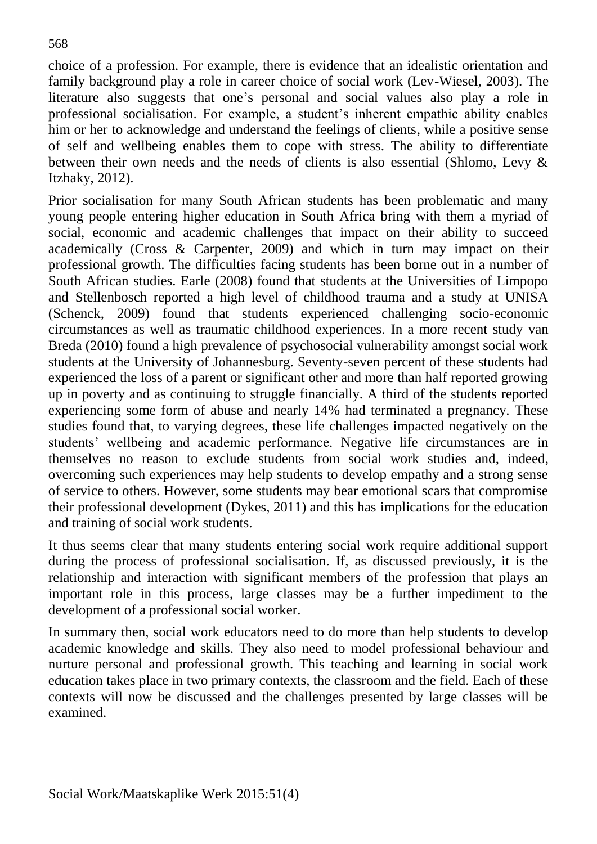choice of a profession. For example, there is evidence that an idealistic orientation and family background play a role in career choice of social work (Lev-Wiesel, 2003). The literature also suggests that one's personal and social values also play a role in professional socialisation. For example, a student's inherent empathic ability enables him or her to acknowledge and understand the feelings of clients, while a positive sense of self and wellbeing enables them to cope with stress. The ability to differentiate between their own needs and the needs of clients is also essential (Shlomo, Levy & Itzhaky, 2012).

Prior socialisation for many South African students has been problematic and many young people entering higher education in South Africa bring with them a myriad of social, economic and academic challenges that impact on their ability to succeed academically (Cross & Carpenter, 2009) and which in turn may impact on their professional growth. The difficulties facing students has been borne out in a number of South African studies. Earle (2008) found that students at the Universities of Limpopo and Stellenbosch reported a high level of childhood trauma and a study at UNISA (Schenck, 2009) found that students experienced challenging socio-economic circumstances as well as traumatic childhood experiences. In a more recent study van Breda (2010) found a high prevalence of psychosocial vulnerability amongst social work students at the University of Johannesburg. Seventy-seven percent of these students had experienced the loss of a parent or significant other and more than half reported growing up in poverty and as continuing to struggle financially. A third of the students reported experiencing some form of abuse and nearly 14% had terminated a pregnancy. These studies found that, to varying degrees, these life challenges impacted negatively on the students' wellbeing and academic performance. Negative life circumstances are in themselves no reason to exclude students from social work studies and, indeed, overcoming such experiences may help students to develop empathy and a strong sense of service to others. However, some students may bear emotional scars that compromise their professional development (Dykes, 2011) and this has implications for the education and training of social work students.

It thus seems clear that many students entering social work require additional support during the process of professional socialisation. If, as discussed previously, it is the relationship and interaction with significant members of the profession that plays an important role in this process, large classes may be a further impediment to the development of a professional social worker.

In summary then, social work educators need to do more than help students to develop academic knowledge and skills. They also need to model professional behaviour and nurture personal and professional growth. This teaching and learning in social work education takes place in two primary contexts, the classroom and the field. Each of these contexts will now be discussed and the challenges presented by large classes will be examined.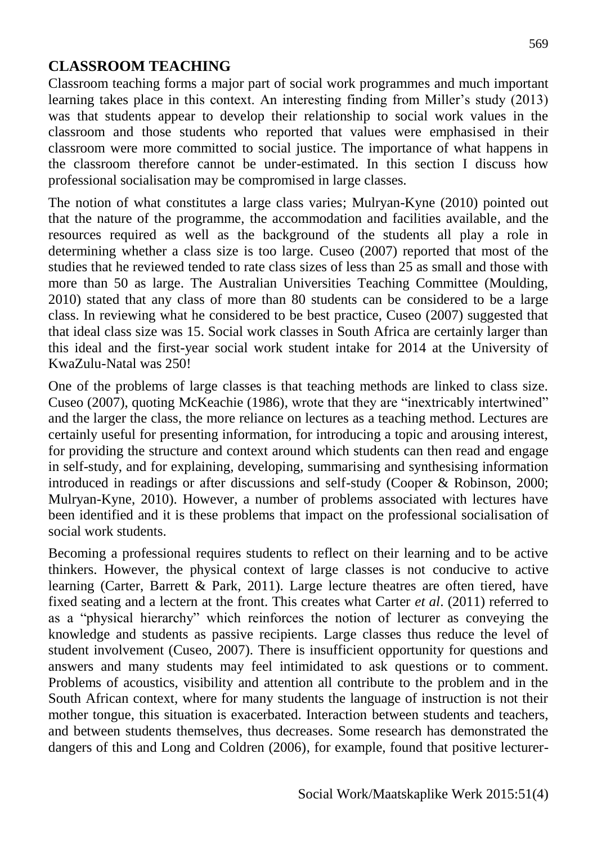## **CLASSROOM TEACHING**

Classroom teaching forms a major part of social work programmes and much important learning takes place in this context. An interesting finding from Miller's study (2013) was that students appear to develop their relationship to social work values in the classroom and those students who reported that values were emphasised in their classroom were more committed to social justice. The importance of what happens in the classroom therefore cannot be under-estimated. In this section I discuss how professional socialisation may be compromised in large classes.

The notion of what constitutes a large class varies; Mulryan-Kyne (2010) pointed out that the nature of the programme, the accommodation and facilities available, and the resources required as well as the background of the students all play a role in determining whether a class size is too large. Cuseo (2007) reported that most of the studies that he reviewed tended to rate class sizes of less than 25 as small and those with more than 50 as large. The Australian Universities Teaching Committee (Moulding, 2010) stated that any class of more than 80 students can be considered to be a large class. In reviewing what he considered to be best practice, Cuseo (2007) suggested that that ideal class size was 15. Social work classes in South Africa are certainly larger than this ideal and the first-year social work student intake for 2014 at the University of KwaZulu-Natal was 250!

One of the problems of large classes is that teaching methods are linked to class size. Cuseo (2007), quoting McKeachie (1986), wrote that they are "inextricably intertwined" and the larger the class, the more reliance on lectures as a teaching method. Lectures are certainly useful for presenting information, for introducing a topic and arousing interest, for providing the structure and context around which students can then read and engage in self-study, and for explaining, developing, summarising and synthesising information introduced in readings or after discussions and self-study (Cooper & Robinson, 2000; Mulryan-Kyne, 2010). However, a number of problems associated with lectures have been identified and it is these problems that impact on the professional socialisation of social work students.

Becoming a professional requires students to reflect on their learning and to be active thinkers. However, the physical context of large classes is not conducive to active learning (Carter, Barrett & Park, 2011). Large lecture theatres are often tiered, have fixed seating and a lectern at the front. This creates what Carter *et al*. (2011) referred to as a "physical hierarchy" which reinforces the notion of lecturer as conveying the knowledge and students as passive recipients. Large classes thus reduce the level of student involvement (Cuseo, 2007). There is insufficient opportunity for questions and answers and many students may feel intimidated to ask questions or to comment. Problems of acoustics, visibility and attention all contribute to the problem and in the South African context, where for many students the language of instruction is not their mother tongue, this situation is exacerbated. Interaction between students and teachers, and between students themselves, thus decreases. Some research has demonstrated the dangers of this and Long and Coldren (2006), for example, found that positive lecturer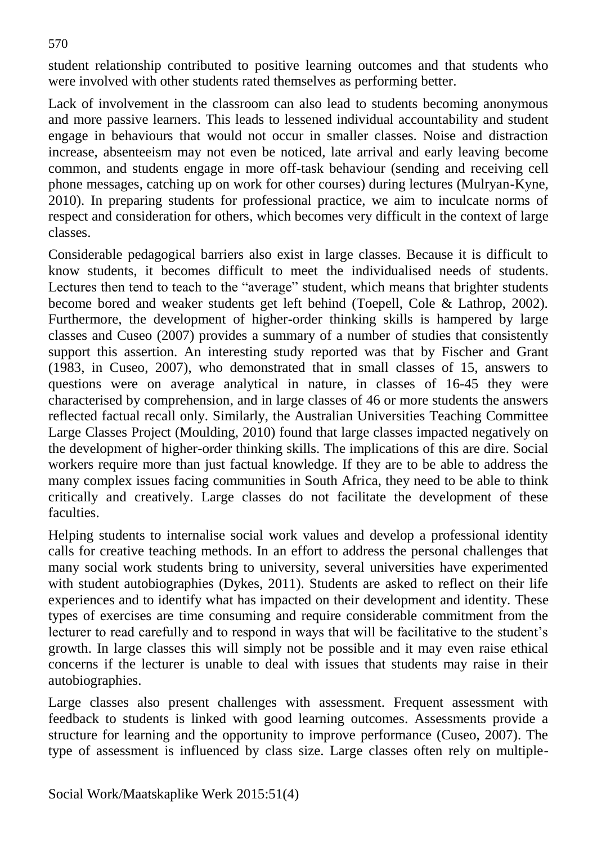student relationship contributed to positive learning outcomes and that students who were involved with other students rated themselves as performing better.

Lack of involvement in the classroom can also lead to students becoming anonymous and more passive learners. This leads to lessened individual accountability and student engage in behaviours that would not occur in smaller classes. Noise and distraction increase, absenteeism may not even be noticed, late arrival and early leaving become common, and students engage in more off-task behaviour (sending and receiving cell phone messages, catching up on work for other courses) during lectures (Mulryan-Kyne, 2010). In preparing students for professional practice, we aim to inculcate norms of respect and consideration for others, which becomes very difficult in the context of large classes.

Considerable pedagogical barriers also exist in large classes. Because it is difficult to know students, it becomes difficult to meet the individualised needs of students. Lectures then tend to teach to the "average" student, which means that brighter students become bored and weaker students get left behind (Toepell, Cole & Lathrop, 2002). Furthermore, the development of higher-order thinking skills is hampered by large classes and Cuseo (2007) provides a summary of a number of studies that consistently support this assertion. An interesting study reported was that by Fischer and Grant (1983, in Cuseo, 2007), who demonstrated that in small classes of 15, answers to questions were on average analytical in nature, in classes of 16-45 they were characterised by comprehension, and in large classes of 46 or more students the answers reflected factual recall only. Similarly, the Australian Universities Teaching Committee Large Classes Project (Moulding, 2010) found that large classes impacted negatively on the development of higher-order thinking skills. The implications of this are dire. Social workers require more than just factual knowledge. If they are to be able to address the many complex issues facing communities in South Africa, they need to be able to think critically and creatively. Large classes do not facilitate the development of these faculties.

Helping students to internalise social work values and develop a professional identity calls for creative teaching methods. In an effort to address the personal challenges that many social work students bring to university, several universities have experimented with student autobiographies (Dykes, 2011). Students are asked to reflect on their life experiences and to identify what has impacted on their development and identity. These types of exercises are time consuming and require considerable commitment from the lecturer to read carefully and to respond in ways that will be facilitative to the student's growth. In large classes this will simply not be possible and it may even raise ethical concerns if the lecturer is unable to deal with issues that students may raise in their autobiographies.

Large classes also present challenges with assessment. Frequent assessment with feedback to students is linked with good learning outcomes. Assessments provide a structure for learning and the opportunity to improve performance (Cuseo, 2007). The type of assessment is influenced by class size. Large classes often rely on multiple-

570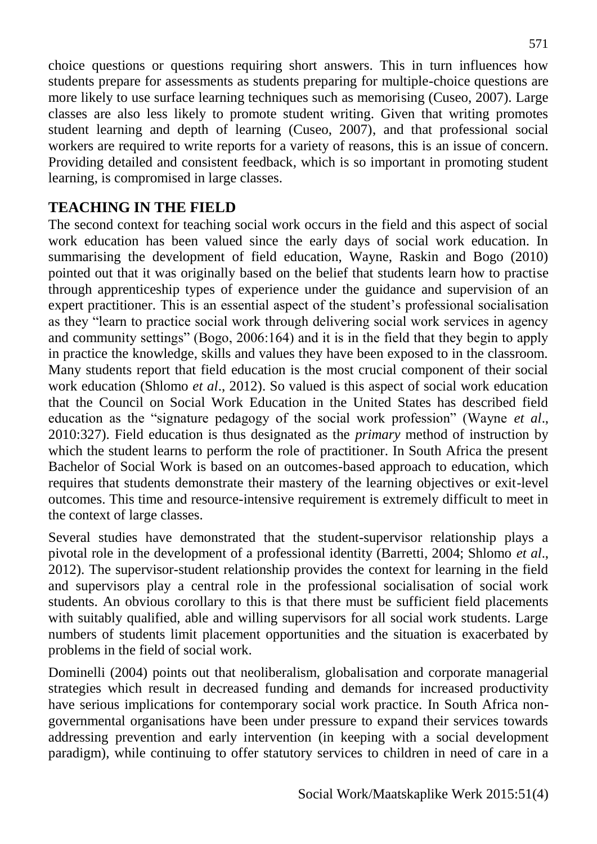choice questions or questions requiring short answers. This in turn influences how students prepare for assessments as students preparing for multiple-choice questions are more likely to use surface learning techniques such as memorising (Cuseo, 2007). Large classes are also less likely to promote student writing. Given that writing promotes student learning and depth of learning (Cuseo, 2007), and that professional social workers are required to write reports for a variety of reasons, this is an issue of concern. Providing detailed and consistent feedback, which is so important in promoting student learning, is compromised in large classes.

## **TEACHING IN THE FIELD**

The second context for teaching social work occurs in the field and this aspect of social work education has been valued since the early days of social work education. In summarising the development of field education, Wayne, Raskin and Bogo (2010) pointed out that it was originally based on the belief that students learn how to practise through apprenticeship types of experience under the guidance and supervision of an expert practitioner. This is an essential aspect of the student's professional socialisation as they "learn to practice social work through delivering social work services in agency and community settings" (Bogo, 2006:164) and it is in the field that they begin to apply in practice the knowledge, skills and values they have been exposed to in the classroom. Many students report that field education is the most crucial component of their social work education (Shlomo *et al*., 2012). So valued is this aspect of social work education that the Council on Social Work Education in the United States has described field education as the "signature pedagogy of the social work profession" (Wayne *et al*., 2010:327). Field education is thus designated as the *primary* method of instruction by which the student learns to perform the role of practitioner. In South Africa the present Bachelor of Social Work is based on an outcomes-based approach to education, which requires that students demonstrate their mastery of the learning objectives or exit-level outcomes. This time and resource-intensive requirement is extremely difficult to meet in the context of large classes.

Several studies have demonstrated that the student-supervisor relationship plays a pivotal role in the development of a professional identity (Barretti, 2004; Shlomo *et al*., 2012). The supervisor-student relationship provides the context for learning in the field and supervisors play a central role in the professional socialisation of social work students. An obvious corollary to this is that there must be sufficient field placements with suitably qualified, able and willing supervisors for all social work students. Large numbers of students limit placement opportunities and the situation is exacerbated by problems in the field of social work.

Dominelli (2004) points out that neoliberalism, globalisation and corporate managerial strategies which result in decreased funding and demands for increased productivity have serious implications for contemporary social work practice. In South Africa nongovernmental organisations have been under pressure to expand their services towards addressing prevention and early intervention (in keeping with a social development paradigm), while continuing to offer statutory services to children in need of care in a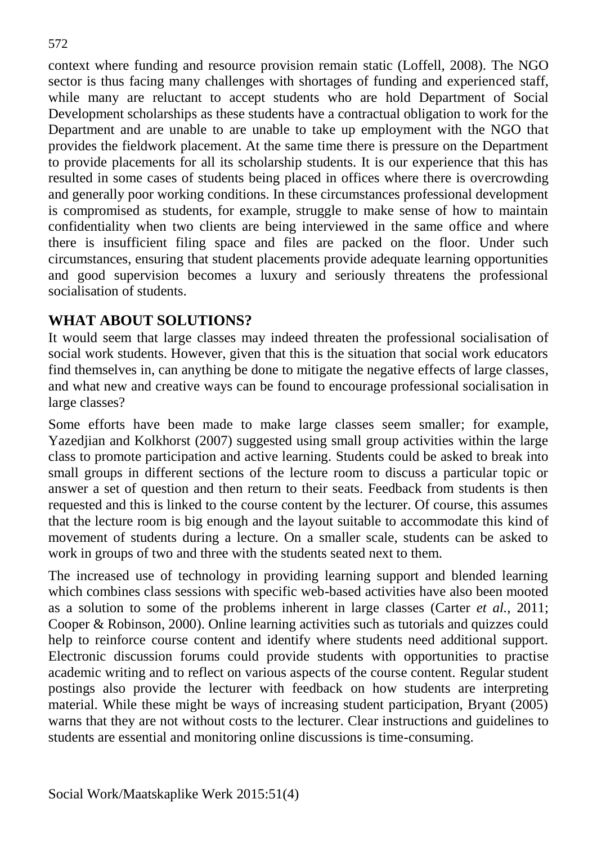context where funding and resource provision remain static (Loffell, 2008). The NGO sector is thus facing many challenges with shortages of funding and experienced staff, while many are reluctant to accept students who are hold Department of Social Development scholarships as these students have a contractual obligation to work for the Department and are unable to are unable to take up employment with the NGO that provides the fieldwork placement. At the same time there is pressure on the Department to provide placements for all its scholarship students. It is our experience that this has resulted in some cases of students being placed in offices where there is overcrowding and generally poor working conditions. In these circumstances professional development is compromised as students, for example, struggle to make sense of how to maintain confidentiality when two clients are being interviewed in the same office and where there is insufficient filing space and files are packed on the floor. Under such circumstances, ensuring that student placements provide adequate learning opportunities and good supervision becomes a luxury and seriously threatens the professional socialisation of students.

#### **WHAT ABOUT SOLUTIONS?**

It would seem that large classes may indeed threaten the professional socialisation of social work students. However, given that this is the situation that social work educators find themselves in, can anything be done to mitigate the negative effects of large classes, and what new and creative ways can be found to encourage professional socialisation in large classes?

Some efforts have been made to make large classes seem smaller; for example, Yazedjian and Kolkhorst (2007) suggested using small group activities within the large class to promote participation and active learning. Students could be asked to break into small groups in different sections of the lecture room to discuss a particular topic or answer a set of question and then return to their seats. Feedback from students is then requested and this is linked to the course content by the lecturer. Of course, this assumes that the lecture room is big enough and the layout suitable to accommodate this kind of movement of students during a lecture. On a smaller scale, students can be asked to work in groups of two and three with the students seated next to them.

The increased use of technology in providing learning support and blended learning which combines class sessions with specific web-based activities have also been mooted as a solution to some of the problems inherent in large classes (Carter *et al.*, 2011; Cooper & Robinson, 2000). Online learning activities such as tutorials and quizzes could help to reinforce course content and identify where students need additional support. Electronic discussion forums could provide students with opportunities to practise academic writing and to reflect on various aspects of the course content. Regular student postings also provide the lecturer with feedback on how students are interpreting material. While these might be ways of increasing student participation, Bryant (2005) warns that they are not without costs to the lecturer. Clear instructions and guidelines to students are essential and monitoring online discussions is time-consuming.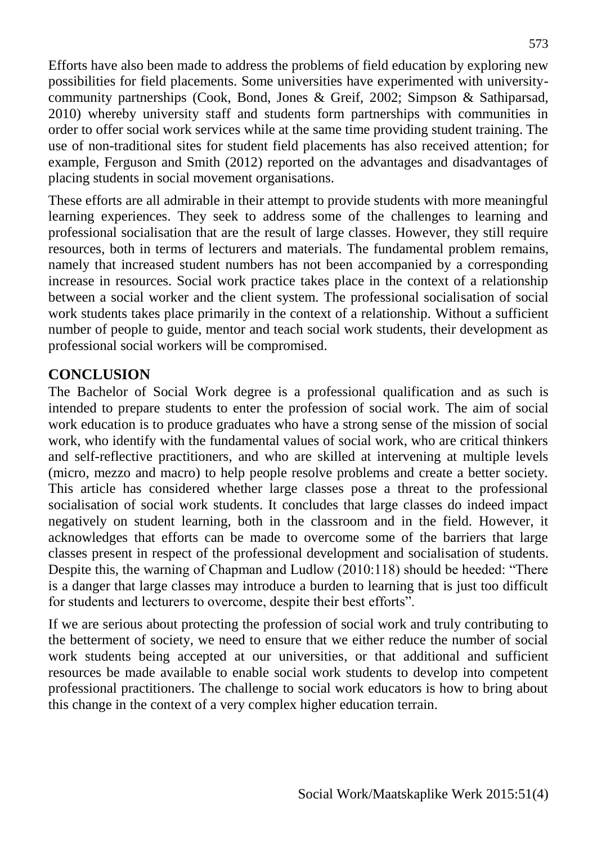Efforts have also been made to address the problems of field education by exploring new possibilities for field placements. Some universities have experimented with universitycommunity partnerships (Cook, Bond, Jones & Greif, 2002; Simpson & Sathiparsad, 2010) whereby university staff and students form partnerships with communities in order to offer social work services while at the same time providing student training. The use of non-traditional sites for student field placements has also received attention; for example, Ferguson and Smith (2012) reported on the advantages and disadvantages of placing students in social movement organisations.

These efforts are all admirable in their attempt to provide students with more meaningful learning experiences. They seek to address some of the challenges to learning and professional socialisation that are the result of large classes. However, they still require resources, both in terms of lecturers and materials. The fundamental problem remains, namely that increased student numbers has not been accompanied by a corresponding increase in resources. Social work practice takes place in the context of a relationship between a social worker and the client system. The professional socialisation of social work students takes place primarily in the context of a relationship. Without a sufficient number of people to guide, mentor and teach social work students, their development as professional social workers will be compromised.

#### **CONCLUSION**

The Bachelor of Social Work degree is a professional qualification and as such is intended to prepare students to enter the profession of social work. The aim of social work education is to produce graduates who have a strong sense of the mission of social work, who identify with the fundamental values of social work, who are critical thinkers and self-reflective practitioners, and who are skilled at intervening at multiple levels (micro, mezzo and macro) to help people resolve problems and create a better society. This article has considered whether large classes pose a threat to the professional socialisation of social work students. It concludes that large classes do indeed impact negatively on student learning, both in the classroom and in the field. However, it acknowledges that efforts can be made to overcome some of the barriers that large classes present in respect of the professional development and socialisation of students. Despite this, the warning of Chapman and Ludlow (2010:118) should be heeded: "There is a danger that large classes may introduce a burden to learning that is just too difficult for students and lecturers to overcome, despite their best efforts".

If we are serious about protecting the profession of social work and truly contributing to the betterment of society, we need to ensure that we either reduce the number of social work students being accepted at our universities, or that additional and sufficient resources be made available to enable social work students to develop into competent professional practitioners. The challenge to social work educators is how to bring about this change in the context of a very complex higher education terrain.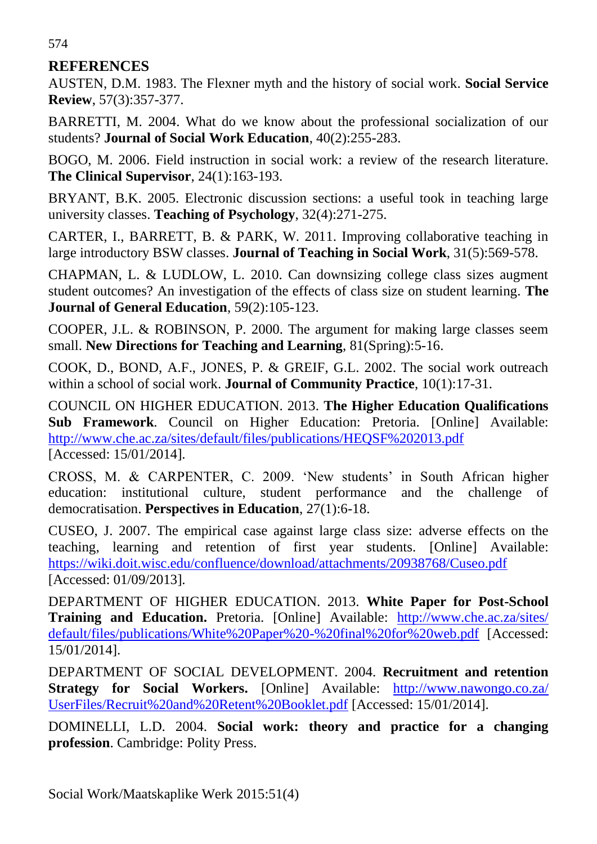## **REFERENCES**

AUSTEN, D.M. 1983. The Flexner myth and the history of social work. **Social Service Review**, 57(3):357-377.

BARRETTI, M. 2004. What do we know about the professional socialization of our students? **Journal of Social Work Education**, 40(2):255-283.

BOGO, M. 2006. Field instruction in social work: a review of the research literature. **The Clinical Supervisor**, 24(1):163-193.

BRYANT, B.K. 2005. Electronic discussion sections: a useful took in teaching large university classes. **Teaching of Psychology**, 32(4):271-275.

CARTER, I., BARRETT, B. & PARK, W. 2011. Improving collaborative teaching in large introductory BSW classes. **Journal of Teaching in Social Work**, 31(5):569-578.

CHAPMAN, L. & LUDLOW, L. 2010. Can downsizing college class sizes augment student outcomes? An investigation of the effects of class size on student learning. **The Journal of General Education**, 59(2):105-123.

COOPER, J.L. & ROBINSON, P. 2000. The argument for making large classes seem small. **New Directions for Teaching and Learning**, 81(Spring):5-16.

COOK, D., BOND, A.F., JONES, P. & GREIF, G.L. 2002. The social work outreach within a school of social work. **Journal of Community Practice**, 10(1):17-31.

COUNCIL ON HIGHER EDUCATION. 2013. **The Higher Education Qualifications Sub Framework**. Council on Higher Education: Pretoria. [Online] Available: <http://www.che.ac.za/sites/default/files/publications/HEQSF%202013.pdf> [Accessed: 15/01/2014].

CROSS, M. & CARPENTER, C. 2009. 'New students' in South African higher education: institutional culture, student performance and the challenge of democratisation. **Perspectives in Education**, 27(1):6-18.

CUSEO, J. 2007. The empirical case against large class size: adverse effects on the teaching, learning and retention of first year students. [Online] Available: <https://wiki.doit.wisc.edu/confluence/download/attachments/20938768/Cuseo.pdf> [Accessed: 01/09/2013].

DEPARTMENT OF HIGHER EDUCATION. 2013. **White Paper for Post-School Training and Education.** Pretoria. [Online] Available: [http://www.che.ac.za/sites/](http://www.che.ac.za/sites/%20default/files/publications/White%20Paper%20-%20final%20for%20web.pdf)  [default/files/publications/White%20Paper%20-%20final%20for%20web.pdf](http://www.che.ac.za/sites/%20default/files/publications/White%20Paper%20-%20final%20for%20web.pdf) [Accessed: 15/01/2014].

DEPARTMENT OF SOCIAL DEVELOPMENT. 2004. **Recruitment and retention Strategy for Social Workers.** [Online] Available: [http://www.nawongo.co.za/](http://www.nawongo.co.za/%20UserFiles/Recruit%20and%20Retent%20Booklet.pdf)  [UserFiles/Recruit%20and%20Retent%20Booklet.pdf](http://www.nawongo.co.za/%20UserFiles/Recruit%20and%20Retent%20Booklet.pdf) [Accessed: 15/01/2014].

DOMINELLI, L.D. 2004. **Social work: theory and practice for a changing profession**. Cambridge: Polity Press.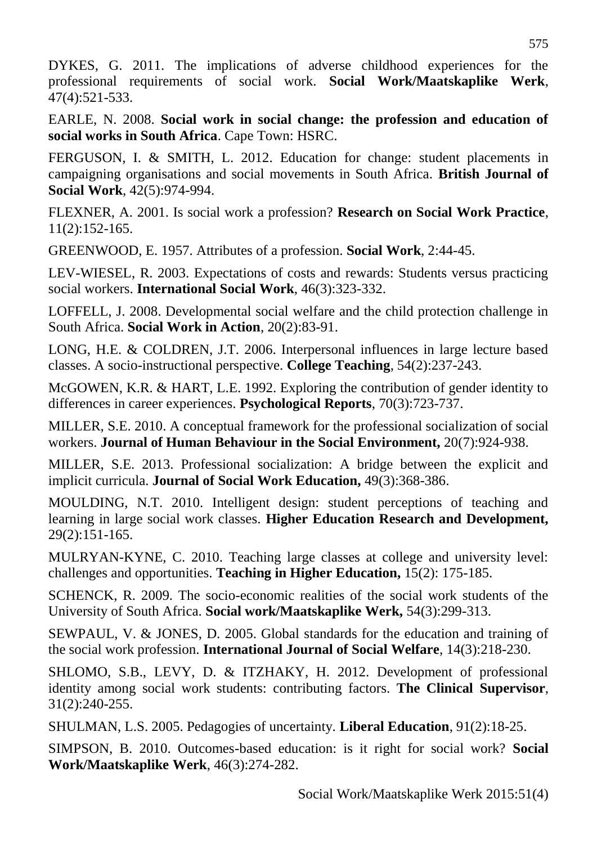DYKES, G. 2011. The implications of adverse childhood experiences for the professional requirements of social work. **Social Work/Maatskaplike Werk**, 47(4):521-533.

EARLE, N. 2008. **Social work in social change: the profession and education of social works in South Africa**. Cape Town: HSRC.

FERGUSON, I. & SMITH, L. 2012. Education for change: student placements in campaigning organisations and social movements in South Africa. **British Journal of Social Work**, 42(5):974-994.

FLEXNER, A. 2001. Is social work a profession? **Research on Social Work Practice**, 11(2):152-165.

GREENWOOD, E. 1957. Attributes of a profession. **Social Work**, 2:44-45.

LEV-WIESEL, R. 2003. Expectations of costs and rewards: Students versus practicing social workers. **International Social Work**, 46(3):323-332.

LOFFELL, J. 2008. Developmental social welfare and the child protection challenge in South Africa. **Social Work in Action**, 20(2):83-91.

LONG, H.E. & COLDREN, J.T. 2006. Interpersonal influences in large lecture based classes. A socio-instructional perspective. **College Teaching**, 54(2):237-243.

McGOWEN, K.R. & HART, L.E. 1992. Exploring the contribution of gender identity to differences in career experiences. **Psychological Reports**, 70(3):723-737.

MILLER, S.E. 2010. A conceptual framework for the professional socialization of social workers. **Journal of Human Behaviour in the Social Environment,** 20(7):924-938.

MILLER, S.E. 2013. Professional socialization: A bridge between the explicit and implicit curricula. **Journal of Social Work Education,** 49(3):368-386.

MOULDING, N.T. 2010. Intelligent design: student perceptions of teaching and learning in large social work classes. **Higher Education Research and Development,**  29(2):151-165.

MULRYAN-KYNE, C. 2010. Teaching large classes at college and university level: challenges and opportunities. **Teaching in Higher Education,** 15(2): 175-185.

SCHENCK, R. 2009. The socio-economic realities of the social work students of the University of South Africa. **Social work/Maatskaplike Werk,** 54(3):299-313.

SEWPAUL, V. & JONES, D. 2005. Global standards for the education and training of the social work profession. **International Journal of Social Welfare**, 14(3):218-230.

SHLOMO, S.B., LEVY, D. & ITZHAKY, H. 2012. Development of professional identity among social work students: contributing factors. **The Clinical Supervisor**, 31(2):240-255.

SHULMAN, L.S. 2005. Pedagogies of uncertainty. **Liberal Education**, 91(2):18-25.

SIMPSON, B. 2010. Outcomes-based education: is it right for social work? **Social Work/Maatskaplike Werk**, 46(3):274-282.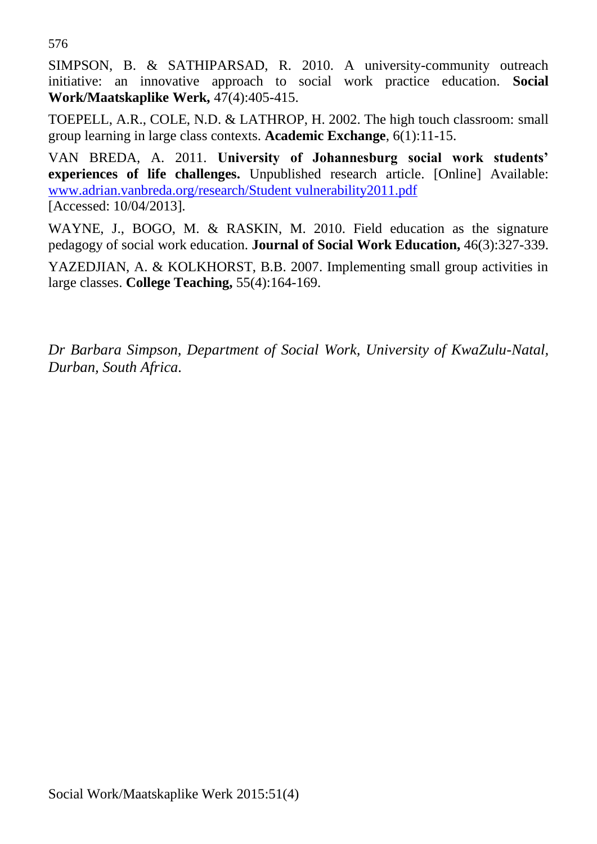576

SIMPSON, B. & SATHIPARSAD, R. 2010. A university-community outreach initiative: an innovative approach to social work practice education. **Social Work/Maatskaplike Werk,** 47(4):405-415.

TOEPELL, A.R., COLE, N.D. & LATHROP, H. 2002. The high touch classroom: small group learning in large class contexts. **Academic Exchange**, 6(1):11-15.

VAN BREDA, A. 2011. **University of Johannesburg social work students' experiences of life challenges.** Unpublished research article. [Online] Available: [www.adrian.vanbreda.org/research/Student vulnerability2011.pdf](http://www.adrian.vanbreda.org/research/Student%20vulnerability2011.pdf) [Accessed: 10/04/2013].

WAYNE, J., BOGO, M. & RASKIN, M. 2010. Field education as the signature pedagogy of social work education. **Journal of Social Work Education,** 46(3):327-339.

YAZEDJIAN, A. & KOLKHORST, B.B. 2007. Implementing small group activities in large classes. **College Teaching,** 55(4):164-169.

*Dr Barbara Simpson, Department of Social Work, University of KwaZulu-Natal, Durban, South Africa.*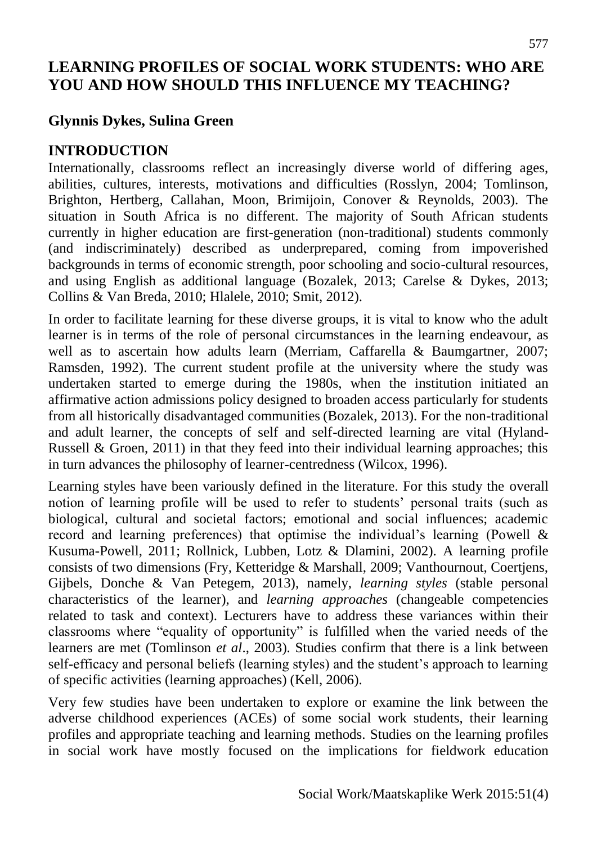# **LEARNING PROFILES OF SOCIAL WORK STUDENTS: WHO ARE YOU AND HOW SHOULD THIS INFLUENCE MY TEACHING?**

# **Glynnis Dykes, Sulina Green**

## **INTRODUCTION**

Internationally, classrooms reflect an increasingly diverse world of differing ages, abilities, cultures, interests, motivations and difficulties (Rosslyn, 2004; Tomlinson, Brighton, Hertberg, Callahan, Moon, Brimijoin, Conover & Reynolds, 2003). The situation in South Africa is no different. The majority of South African students currently in higher education are first-generation (non-traditional) students commonly (and indiscriminately) described as underprepared, coming from impoverished backgrounds in terms of economic strength, poor schooling and socio-cultural resources, and using English as additional language (Bozalek, 2013; Carelse & Dykes, 2013; Collins & Van Breda, 2010; Hlalele, 2010; Smit, 2012).

In order to facilitate learning for these diverse groups, it is vital to know who the adult learner is in terms of the role of personal circumstances in the learning endeavour, as well as to ascertain how adults learn (Merriam, Caffarella & Baumgartner, 2007; Ramsden, 1992). The current student profile at the university where the study was undertaken started to emerge during the 1980s, when the institution initiated an affirmative action admissions policy designed to broaden access particularly for students from all historically disadvantaged communities (Bozalek, 2013). For the non-traditional and adult learner, the concepts of self and self-directed learning are vital (Hyland-Russell & Groen, 2011) in that they feed into their individual learning approaches; this in turn advances the philosophy of learner-centredness (Wilcox, 1996).

Learning styles have been variously defined in the literature. For this study the overall notion of learning profile will be used to refer to students' personal traits (such as biological, cultural and societal factors; emotional and social influences; academic record and learning preferences) that optimise the individual's learning (Powell & Kusuma-Powell, 2011; Rollnick, Lubben, Lotz & Dlamini, 2002). A learning profile consists of two dimensions (Fry, Ketteridge & Marshall, 2009; Vanthournout, Coertjens, Gijbels, Donche & Van Petegem, 2013), namely, *learning styles* (stable personal characteristics of the learner), and *learning approaches* (changeable competencies related to task and context). Lecturers have to address these variances within their classrooms where "equality of opportunity" is fulfilled when the varied needs of the learners are met (Tomlinson *et al*., 2003). Studies confirm that there is a link between self-efficacy and personal beliefs (learning styles) and the student's approach to learning of specific activities (learning approaches) (Kell, 2006).

Very few studies have been undertaken to explore or examine the link between the adverse childhood experiences (ACEs) of some social work students, their learning profiles and appropriate teaching and learning methods. Studies on the learning profiles in social work have mostly focused on the implications for fieldwork education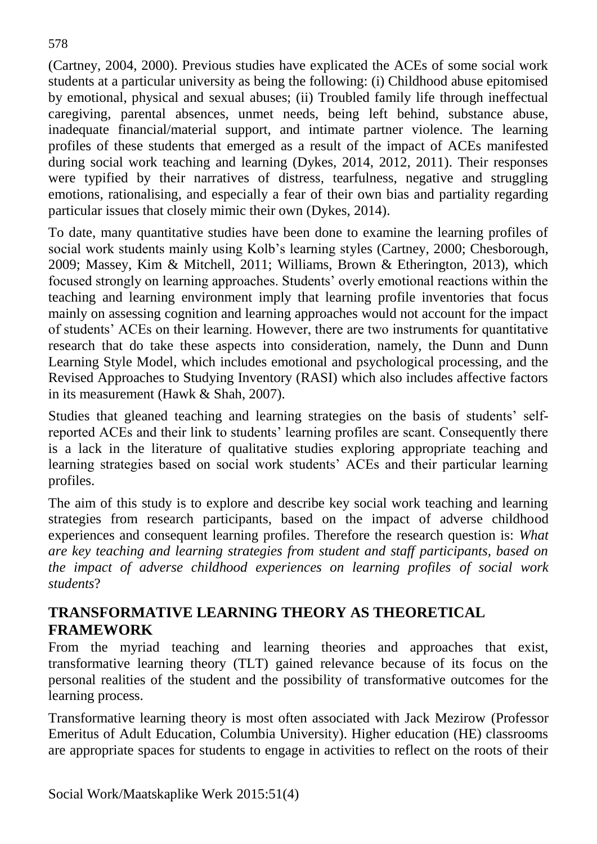(Cartney, 2004, 2000). Previous studies have explicated the ACEs of some social work students at a particular university as being the following: (i) Childhood abuse epitomised by emotional, physical and sexual abuses; (ii) Troubled family life through ineffectual caregiving, parental absences, unmet needs, being left behind, substance abuse, inadequate financial/material support, and intimate partner violence. The learning profiles of these students that emerged as a result of the impact of ACEs manifested during social work teaching and learning (Dykes, 2014, 2012, 2011). Their responses were typified by their narratives of distress, tearfulness, negative and struggling emotions, rationalising, and especially a fear of their own bias and partiality regarding particular issues that closely mimic their own (Dykes, 2014).

To date, many quantitative studies have been done to examine the learning profiles of social work students mainly using Kolb's learning styles (Cartney, 2000; Chesborough, 2009; Massey, Kim & Mitchell, 2011; Williams, Brown & Etherington, 2013), which focused strongly on learning approaches. Students' overly emotional reactions within the teaching and learning environment imply that learning profile inventories that focus mainly on assessing cognition and learning approaches would not account for the impact of students' ACEs on their learning. However, there are two instruments for quantitative research that do take these aspects into consideration, namely, the Dunn and Dunn Learning Style Model, which includes emotional and psychological processing, and the Revised Approaches to Studying Inventory (RASI) which also includes affective factors in its measurement (Hawk & Shah, 2007).

Studies that gleaned teaching and learning strategies on the basis of students' selfreported ACEs and their link to students' learning profiles are scant. Consequently there is a lack in the literature of qualitative studies exploring appropriate teaching and learning strategies based on social work students' ACEs and their particular learning profiles.

The aim of this study is to explore and describe key social work teaching and learning strategies from research participants, based on the impact of adverse childhood experiences and consequent learning profiles. Therefore the research question is: *What are key teaching and learning strategies from student and staff participants, based on the impact of adverse childhood experiences on learning profiles of social work students*?

## **TRANSFORMATIVE LEARNING THEORY AS THEORETICAL FRAMEWORK**

From the myriad teaching and learning theories and approaches that exist, transformative learning theory (TLT) gained relevance because of its focus on the personal realities of the student and the possibility of transformative outcomes for the learning process.

Transformative learning theory is most often associated with Jack Mezirow (Professor Emeritus of Adult Education, Columbia University). Higher education (HE) classrooms are appropriate spaces for students to engage in activities to reflect on the roots of their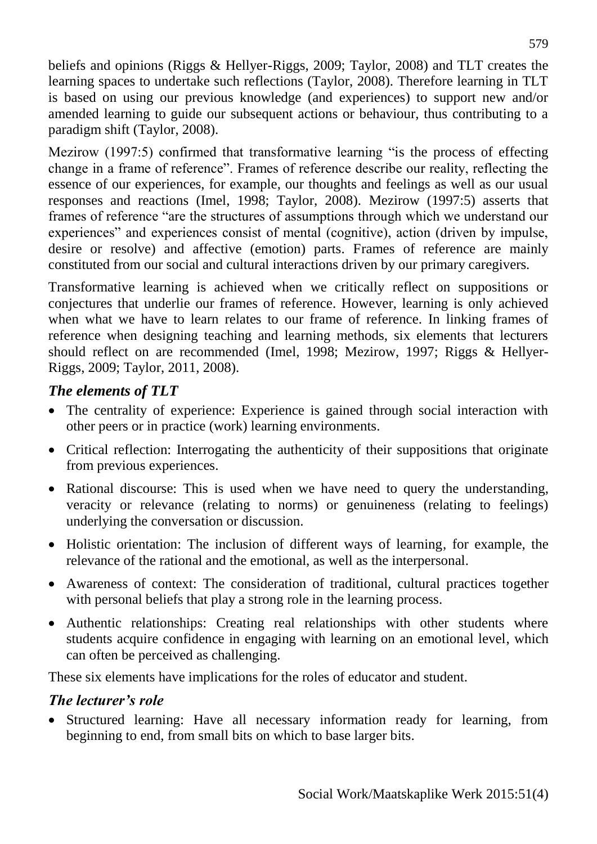beliefs and opinions (Riggs & Hellyer-Riggs, 2009; Taylor, 2008) and TLT creates the learning spaces to undertake such reflections (Taylor, 2008). Therefore learning in TLT is based on using our previous knowledge (and experiences) to support new and/or amended learning to guide our subsequent actions or behaviour, thus contributing to a paradigm shift (Taylor, 2008).

Mezirow (1997:5) confirmed that transformative learning "is the process of effecting change in a frame of reference". Frames of reference describe our reality, reflecting the essence of our experiences, for example, our thoughts and feelings as well as our usual responses and reactions (Imel, 1998; Taylor, 2008). Mezirow (1997:5) asserts that frames of reference "are the structures of assumptions through which we understand our experiences" and experiences consist of mental (cognitive), action (driven by impulse, desire or resolve) and affective (emotion) parts. Frames of reference are mainly constituted from our social and cultural interactions driven by our primary caregivers.

Transformative learning is achieved when we critically reflect on suppositions or conjectures that underlie our frames of reference. However, learning is only achieved when what we have to learn relates to our frame of reference. In linking frames of reference when designing teaching and learning methods, six elements that lecturers should reflect on are recommended (Imel, 1998; Mezirow, 1997; Riggs & Hellyer-Riggs, 2009; Taylor, 2011, 2008).

## *The elements of TLT*

- The centrality of experience: Experience is gained through social interaction with other peers or in practice (work) learning environments.
- Critical reflection: Interrogating the authenticity of their suppositions that originate from previous experiences.
- Rational discourse: This is used when we have need to query the understanding, veracity or relevance (relating to norms) or genuineness (relating to feelings) underlying the conversation or discussion.
- Holistic orientation: The inclusion of different ways of learning, for example, the relevance of the rational and the emotional, as well as the interpersonal.
- Awareness of context: The consideration of traditional, cultural practices together with personal beliefs that play a strong role in the learning process.
- Authentic relationships: Creating real relationships with other students where students acquire confidence in engaging with learning on an emotional level, which can often be perceived as challenging.

These six elements have implications for the roles of educator and student.

## *The lecturer's role*

 Structured learning: Have all necessary information ready for learning, from beginning to end, from small bits on which to base larger bits.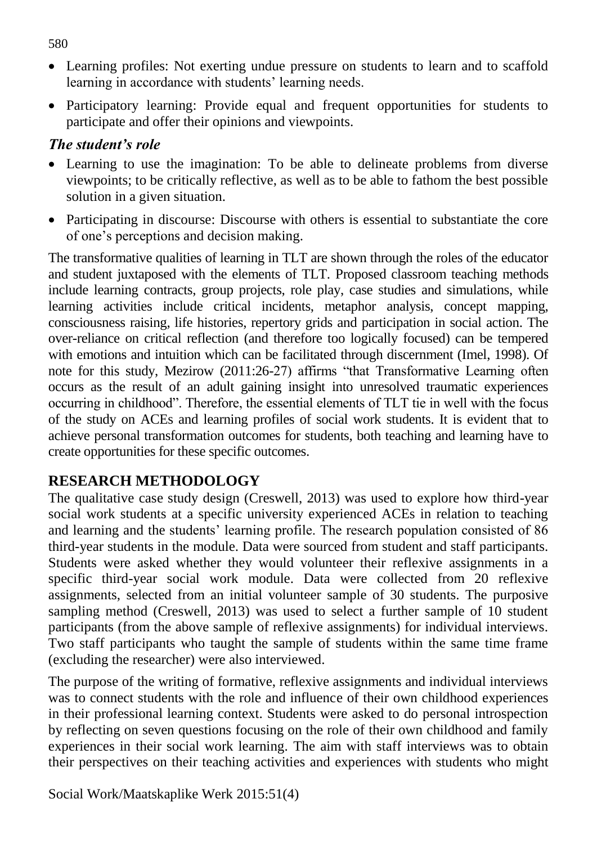- Learning profiles: Not exerting undue pressure on students to learn and to scaffold learning in accordance with students' learning needs.
- Participatory learning: Provide equal and frequent opportunities for students to participate and offer their opinions and viewpoints.

## *The student's role*

- Learning to use the imagination: To be able to delineate problems from diverse viewpoints; to be critically reflective, as well as to be able to fathom the best possible solution in a given situation.
- Participating in discourse: Discourse with others is essential to substantiate the core of one's perceptions and decision making.

The transformative qualities of learning in TLT are shown through the roles of the educator and student juxtaposed with the elements of TLT. Proposed classroom teaching methods include learning contracts, group projects, role play, case studies and simulations, while learning activities include critical incidents, metaphor analysis, concept mapping, consciousness raising, life histories, repertory grids and participation in social action. The over-reliance on critical reflection (and therefore too logically focused) can be tempered with emotions and intuition which can be facilitated through discernment (Imel, 1998). Of note for this study, Mezirow (2011:26-27) affirms "that Transformative Learning often occurs as the result of an adult gaining insight into unresolved traumatic experiences occurring in childhood". Therefore, the essential elements of TLT tie in well with the focus of the study on ACEs and learning profiles of social work students. It is evident that to achieve personal transformation outcomes for students, both teaching and learning have to create opportunities for these specific outcomes.

## **RESEARCH METHODOLOGY**

The qualitative case study design (Creswell, 2013) was used to explore how third-year social work students at a specific university experienced ACEs in relation to teaching and learning and the students' learning profile. The research population consisted of 86 third-year students in the module. Data were sourced from student and staff participants. Students were asked whether they would volunteer their reflexive assignments in a specific third-year social work module. Data were collected from 20 reflexive assignments, selected from an initial volunteer sample of 30 students. The purposive sampling method (Creswell, 2013) was used to select a further sample of 10 student participants (from the above sample of reflexive assignments) for individual interviews. Two staff participants who taught the sample of students within the same time frame (excluding the researcher) were also interviewed.

The purpose of the writing of formative, reflexive assignments and individual interviews was to connect students with the role and influence of their own childhood experiences in their professional learning context. Students were asked to do personal introspection by reflecting on seven questions focusing on the role of their own childhood and family experiences in their social work learning. The aim with staff interviews was to obtain their perspectives on their teaching activities and experiences with students who might

Social Work/Maatskaplike Werk 2015:51(4)

580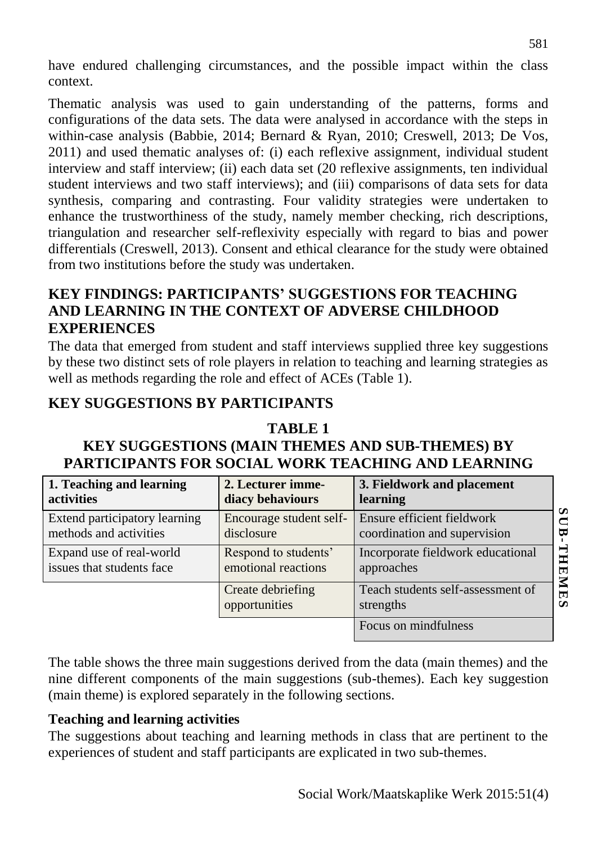have endured challenging circumstances, and the possible impact within the class context.

Thematic analysis was used to gain understanding of the patterns, forms and configurations of the data sets. The data were analysed in accordance with the steps in within-case analysis (Babbie, 2014; Bernard & Ryan, 2010; Creswell, 2013; De Vos, 2011) and used thematic analyses of: (i) each reflexive assignment, individual student interview and staff interview; (ii) each data set (20 reflexive assignments, ten individual student interviews and two staff interviews); and (iii) comparisons of data sets for data synthesis, comparing and contrasting. Four validity strategies were undertaken to enhance the trustworthiness of the study, namely member checking, rich descriptions, triangulation and researcher self-reflexivity especially with regard to bias and power differentials (Creswell, 2013). Consent and ethical clearance for the study were obtained from two institutions before the study was undertaken.

## **KEY FINDINGS: PARTICIPANTS' SUGGESTIONS FOR TEACHING AND LEARNING IN THE CONTEXT OF ADVERSE CHILDHOOD EXPERIENCES**

The data that emerged from student and staff interviews supplied three key suggestions by these two distinct sets of role players in relation to teaching and learning strategies as well as methods regarding the role and effect of ACEs (Table 1).

## **KEY SUGGESTIONS BY PARTICIPANTS**

#### **TABLE 1**

# **KEY SUGGESTIONS (MAIN THEMES AND SUB-THEMES) BY PARTICIPANTS FOR SOCIAL WORK TEACHING AND LEARNING**

| 1. Teaching and learning      | 2. Lecturer imme-                  | 3. Fieldwork and placement                     |
|-------------------------------|------------------------------------|------------------------------------------------|
| activities                    | diacy behaviours                   | learning                                       |
| Extend participatory learning | Encourage student self-            | Ensure efficient fieldwork                     |
| methods and activities        | disclosure                         | coordination and supervision                   |
| Expand use of real-world      | Respond to students'               | Incorporate fieldwork educational              |
| issues that students face     | emotional reactions                | approaches                                     |
|                               | Create debriefing<br>opportunities | Teach students self-assessment of<br>strengths |
|                               |                                    | Focus on mindfulness                           |

The table shows the three main suggestions derived from the data (main themes) and the nine different components of the main suggestions (sub-themes). Each key suggestion (main theme) is explored separately in the following sections.

#### **Teaching and learning activities**

The suggestions about teaching and learning methods in class that are pertinent to the experiences of student and staff participants are explicated in two sub-themes.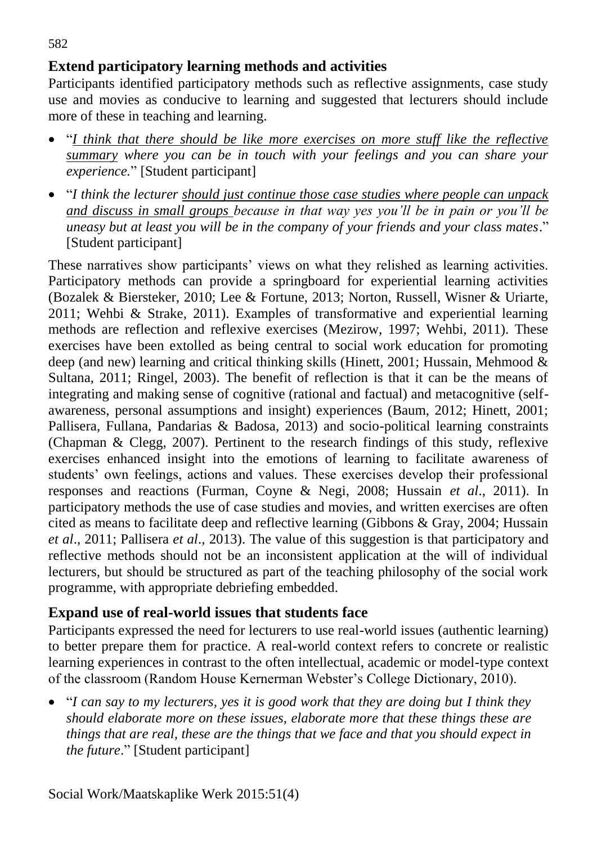## **Extend participatory learning methods and activities**

Participants identified participatory methods such as reflective assignments, case study use and movies as conducive to learning and suggested that lecturers should include more of these in teaching and learning.

- "*I think that there should be like more exercises on more stuff like the reflective summary where you can be in touch with your feelings and you can share your experience.*" [Student participant]
- "*I think the lecturer should just continue those case studies where people can unpack and discuss in small groups because in that way yes you'll be in pain or you'll be uneasy but at least you will be in the company of your friends and your class mates*." [Student participant]

These narratives show participants' views on what they relished as learning activities. Participatory methods can provide a springboard for experiential learning activities (Bozalek & Biersteker, 2010; Lee & Fortune, 2013; Norton, Russell, Wisner & Uriarte, 2011; Wehbi & Strake, 2011). Examples of transformative and experiential learning methods are reflection and reflexive exercises (Mezirow, 1997; Wehbi, 2011). These exercises have been extolled as being central to social work education for promoting deep (and new) learning and critical thinking skills (Hinett, 2001; Hussain, Mehmood & Sultana, 2011; Ringel, 2003). The benefit of reflection is that it can be the means of integrating and making sense of cognitive (rational and factual) and metacognitive (selfawareness, personal assumptions and insight) experiences (Baum, 2012; Hinett, 2001; Pallisera, Fullana, Pandarias & Badosa, 2013) and socio-political learning constraints (Chapman & Clegg, 2007). Pertinent to the research findings of this study, reflexive exercises enhanced insight into the emotions of learning to facilitate awareness of students' own feelings, actions and values. These exercises develop their professional responses and reactions (Furman, Coyne & Negi, 2008; Hussain *et al*., 2011). In participatory methods the use of case studies and movies, and written exercises are often cited as means to facilitate deep and reflective learning (Gibbons & Gray, 2004; Hussain *et al*., 2011; Pallisera *et al*., 2013). The value of this suggestion is that participatory and reflective methods should not be an inconsistent application at the will of individual lecturers, but should be structured as part of the teaching philosophy of the social work programme, with appropriate debriefing embedded.

#### **Expand use of real-world issues that students face**

Participants expressed the need for lecturers to use real-world issues (authentic learning) to better prepare them for practice. A real-world context refers to concrete or realistic learning experiences in contrast to the often intellectual, academic or model-type context of the classroom (Random House Kernerman Webster's College Dictionary, 2010).

• "*I can say to my lecturers, yes it is good work that they are doing but I think they should elaborate more on these issues, elaborate more that these things these are things that are real, these are the things that we face and that you should expect in the future*." [Student participant]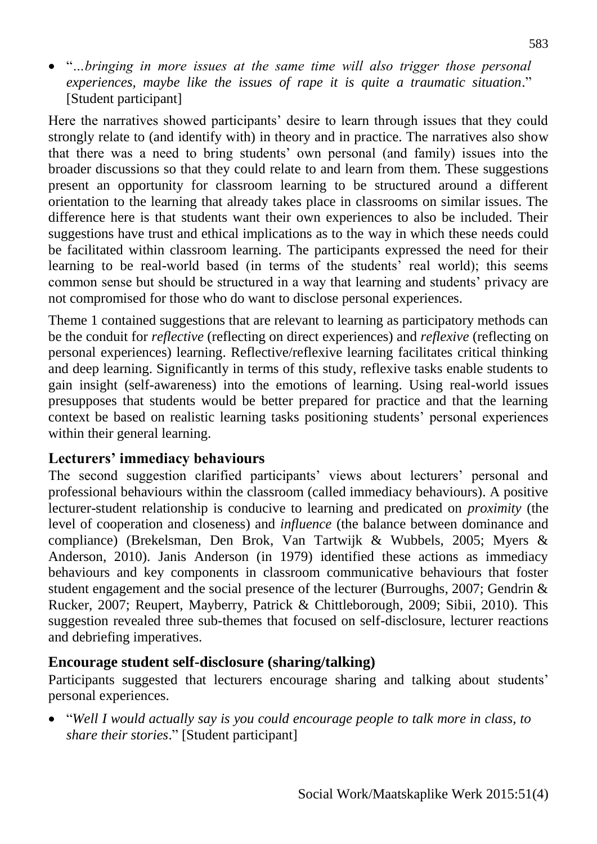"*…bringing in more issues at the same time will also trigger those personal experiences, maybe like the issues of rape it is quite a traumatic situation*." [Student participant]

Here the narratives showed participants' desire to learn through issues that they could strongly relate to (and identify with) in theory and in practice. The narratives also show that there was a need to bring students' own personal (and family) issues into the broader discussions so that they could relate to and learn from them. These suggestions present an opportunity for classroom learning to be structured around a different orientation to the learning that already takes place in classrooms on similar issues. The difference here is that students want their own experiences to also be included. Their suggestions have trust and ethical implications as to the way in which these needs could be facilitated within classroom learning. The participants expressed the need for their learning to be real-world based (in terms of the students' real world); this seems common sense but should be structured in a way that learning and students' privacy are not compromised for those who do want to disclose personal experiences.

Theme 1 contained suggestions that are relevant to learning as participatory methods can be the conduit for *reflective* (reflecting on direct experiences) and *reflexive* (reflecting on personal experiences) learning. Reflective/reflexive learning facilitates critical thinking and deep learning. Significantly in terms of this study, reflexive tasks enable students to gain insight (self-awareness) into the emotions of learning. Using real-world issues presupposes that students would be better prepared for practice and that the learning context be based on realistic learning tasks positioning students' personal experiences within their general learning.

#### **Lecturers' immediacy behaviours**

The second suggestion clarified participants' views about lecturers' personal and professional behaviours within the classroom (called immediacy behaviours). A positive lecturer-student relationship is conducive to learning and predicated on *proximity* (the level of cooperation and closeness) and *influence* (the balance between dominance and compliance) (Brekelsman, Den Brok, Van Tartwijk & Wubbels, 2005; Myers & Anderson, 2010). Janis Anderson (in 1979) identified these actions as immediacy behaviours and key components in classroom communicative behaviours that foster student engagement and the social presence of the lecturer (Burroughs, 2007; Gendrin & Rucker, 2007; Reupert, Mayberry, Patrick & Chittleborough, 2009; Sibii, 2010). This suggestion revealed three sub-themes that focused on self-disclosure, lecturer reactions and debriefing imperatives.

#### **Encourage student self-disclosure (sharing/talking)**

Participants suggested that lecturers encourage sharing and talking about students' personal experiences.

 "*Well I would actually say is you could encourage people to talk more in class, to share their stories*." [Student participant]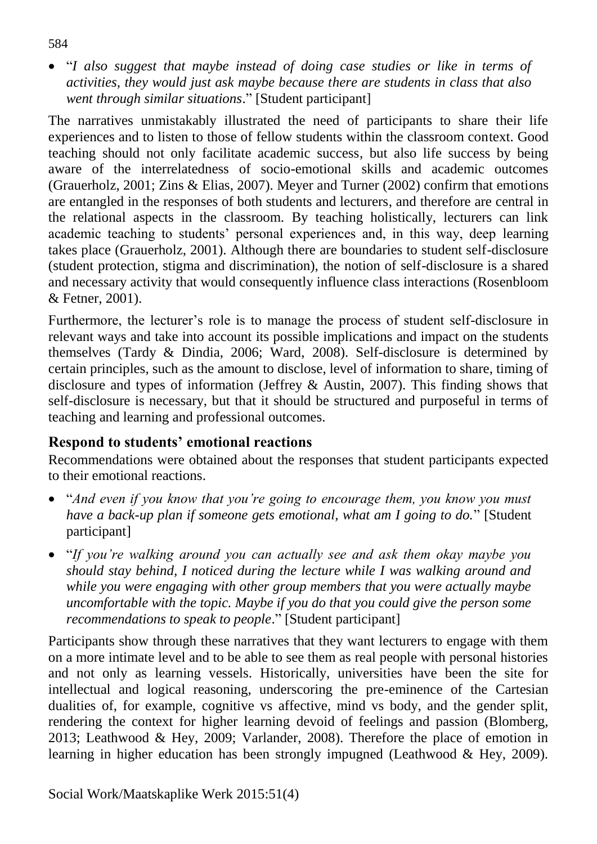"*I also suggest that maybe instead of doing case studies or like in terms of activities, they would just ask maybe because there are students in class that also went through similar situations*." [Student participant]

The narratives unmistakably illustrated the need of participants to share their life experiences and to listen to those of fellow students within the classroom context. Good teaching should not only facilitate academic success, but also life success by being aware of the interrelatedness of socio-emotional skills and academic outcomes (Grauerholz, 2001; Zins & Elias, 2007). Meyer and Turner (2002) confirm that emotions are entangled in the responses of both students and lecturers, and therefore are central in the relational aspects in the classroom. By teaching holistically, lecturers can link academic teaching to students' personal experiences and, in this way, deep learning takes place (Grauerholz, 2001). Although there are boundaries to student self-disclosure (student protection, stigma and discrimination), the notion of self-disclosure is a shared and necessary activity that would consequently influence class interactions (Rosenbloom & Fetner, 2001).

Furthermore, the lecturer's role is to manage the process of student self-disclosure in relevant ways and take into account its possible implications and impact on the students themselves (Tardy & Dindia, 2006; Ward, 2008). Self-disclosure is determined by certain principles, such as the amount to disclose, level of information to share, timing of disclosure and types of information (Jeffrey & Austin, 2007). This finding shows that self-disclosure is necessary, but that it should be structured and purposeful in terms of teaching and learning and professional outcomes.

## **Respond to students' emotional reactions**

Recommendations were obtained about the responses that student participants expected to their emotional reactions.

- "*And even if you know that you're going to encourage them, you know you must have a back-up plan if someone gets emotional, what am I going to do.*" [Student participant]
- "*If you're walking around you can actually see and ask them okay maybe you should stay behind, I noticed during the lecture while I was walking around and while you were engaging with other group members that you were actually maybe uncomfortable with the topic. Maybe if you do that you could give the person some recommendations to speak to people*." [Student participant]

Participants show through these narratives that they want lecturers to engage with them on a more intimate level and to be able to see them as real people with personal histories and not only as learning vessels. Historically, universities have been the site for intellectual and logical reasoning, underscoring the pre-eminence of the Cartesian dualities of, for example, cognitive vs affective, mind vs body, and the gender split, rendering the context for higher learning devoid of feelings and passion (Blomberg, 2013; Leathwood & Hey, 2009; Varlander, 2008). Therefore the place of emotion in learning in higher education has been strongly impugned (Leathwood & Hey, 2009).

584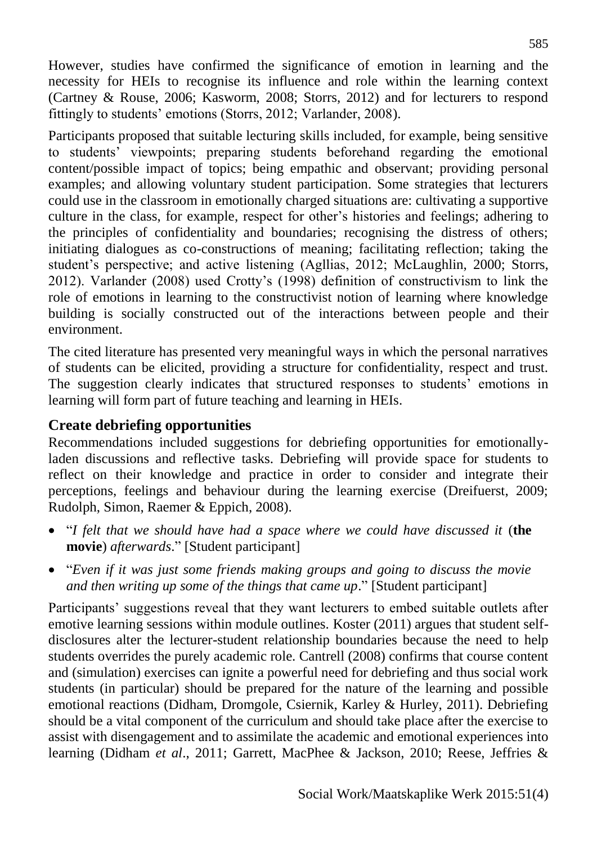However, studies have confirmed the significance of emotion in learning and the necessity for HEIs to recognise its influence and role within the learning context (Cartney & Rouse, 2006; Kasworm, 2008; Storrs, 2012) and for lecturers to respond fittingly to students' emotions (Storrs, 2012; Varlander, 2008).

Participants proposed that suitable lecturing skills included, for example, being sensitive to students' viewpoints; preparing students beforehand regarding the emotional content/possible impact of topics; being empathic and observant; providing personal examples; and allowing voluntary student participation. Some strategies that lecturers could use in the classroom in emotionally charged situations are: cultivating a supportive culture in the class, for example, respect for other's histories and feelings; adhering to the principles of confidentiality and boundaries; recognising the distress of others; initiating dialogues as co-constructions of meaning; facilitating reflection; taking the student's perspective; and active listening (Agllias, 2012; McLaughlin, 2000; Storrs, 2012). Varlander (2008) used Crotty's (1998) definition of constructivism to link the role of emotions in learning to the constructivist notion of learning where knowledge building is socially constructed out of the interactions between people and their environment.

The cited literature has presented very meaningful ways in which the personal narratives of students can be elicited, providing a structure for confidentiality, respect and trust. The suggestion clearly indicates that structured responses to students' emotions in learning will form part of future teaching and learning in HEIs.

#### **Create debriefing opportunities**

Recommendations included suggestions for debriefing opportunities for emotionallyladen discussions and reflective tasks. Debriefing will provide space for students to reflect on their knowledge and practice in order to consider and integrate their perceptions, feelings and behaviour during the learning exercise (Dreifuerst, 2009; Rudolph, Simon, Raemer & Eppich, 2008).

- "*I felt that we should have had a space where we could have discussed it* (the **movie**) *afterwards*." [Student participant]
- "*Even if it was just some friends making groups and going to discuss the movie and then writing up some of the things that came up*." [Student participant]

Participants' suggestions reveal that they want lecturers to embed suitable outlets after emotive learning sessions within module outlines. Koster (2011) argues that student selfdisclosures alter the lecturer-student relationship boundaries because the need to help students overrides the purely academic role. Cantrell (2008) confirms that course content and (simulation) exercises can ignite a powerful need for debriefing and thus social work students (in particular) should be prepared for the nature of the learning and possible emotional reactions (Didham, Dromgole, Csiernik, Karley & Hurley, 2011). Debriefing should be a vital component of the curriculum and should take place after the exercise to assist with disengagement and to assimilate the academic and emotional experiences into learning (Didham *et al*., 2011; Garrett, MacPhee & Jackson, 2010; Reese, Jeffries &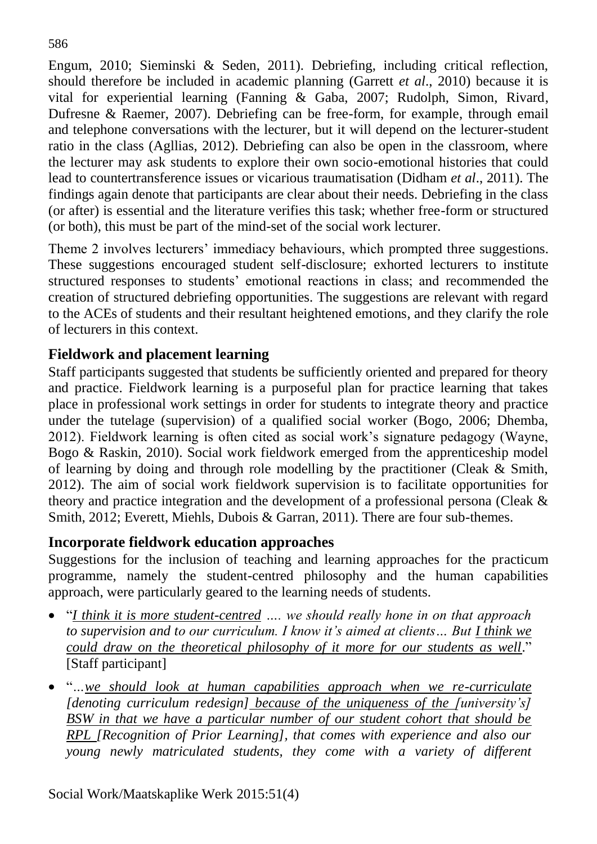Engum, 2010; Sieminski & Seden, 2011). Debriefing, including critical reflection, should therefore be included in academic planning (Garrett *et al*., 2010) because it is vital for experiential learning (Fanning & Gaba, 2007; Rudolph, Simon, Rivard, Dufresne & Raemer, 2007). Debriefing can be free-form, for example, through email and telephone conversations with the lecturer, but it will depend on the lecturer-student ratio in the class (Agllias, 2012). Debriefing can also be open in the classroom, where the lecturer may ask students to explore their own socio-emotional histories that could lead to countertransference issues or vicarious traumatisation (Didham *et al*., 2011). The findings again denote that participants are clear about their needs. Debriefing in the class (or after) is essential and the literature verifies this task; whether free-form or structured (or both), this must be part of the mind-set of the social work lecturer.

Theme 2 involves lecturers' immediacy behaviours, which prompted three suggestions. These suggestions encouraged student self-disclosure; exhorted lecturers to institute structured responses to students' emotional reactions in class; and recommended the creation of structured debriefing opportunities. The suggestions are relevant with regard to the ACEs of students and their resultant heightened emotions, and they clarify the role of lecturers in this context.

## **Fieldwork and placement learning**

Staff participants suggested that students be sufficiently oriented and prepared for theory and practice. Fieldwork learning is a purposeful plan for practice learning that takes place in professional work settings in order for students to integrate theory and practice under the tutelage (supervision) of a qualified social worker (Bogo, 2006; Dhemba, 2012). Fieldwork learning is often cited as social work's signature pedagogy (Wayne, Bogo & Raskin, 2010). Social work fieldwork emerged from the apprenticeship model of learning by doing and through role modelling by the practitioner (Cleak & Smith, 2012). The aim of social work fieldwork supervision is to facilitate opportunities for theory and practice integration and the development of a professional persona (Cleak & Smith, 2012; Everett, Miehls, Dubois & Garran, 2011). There are four sub-themes.

## **Incorporate fieldwork education approaches**

Suggestions for the inclusion of teaching and learning approaches for the practicum programme, namely the student-centred philosophy and the human capabilities approach, were particularly geared to the learning needs of students.

- "*I think it is more student-centred …. we should really hone in on that approach to supervision and to our curriculum. I know it's aimed at clients… But I think we could draw on the theoretical philosophy of it more for our students as well*." [Staff participant]
- "*…we should look at human capabilities approach when we re-curriculate [denoting curriculum redesign] because of the uniqueness of the [university's] BSW in that we have a particular number of our student cohort that should be RPL [Recognition of Prior Learning], that comes with experience and also our young newly matriculated students, they come with a variety of different*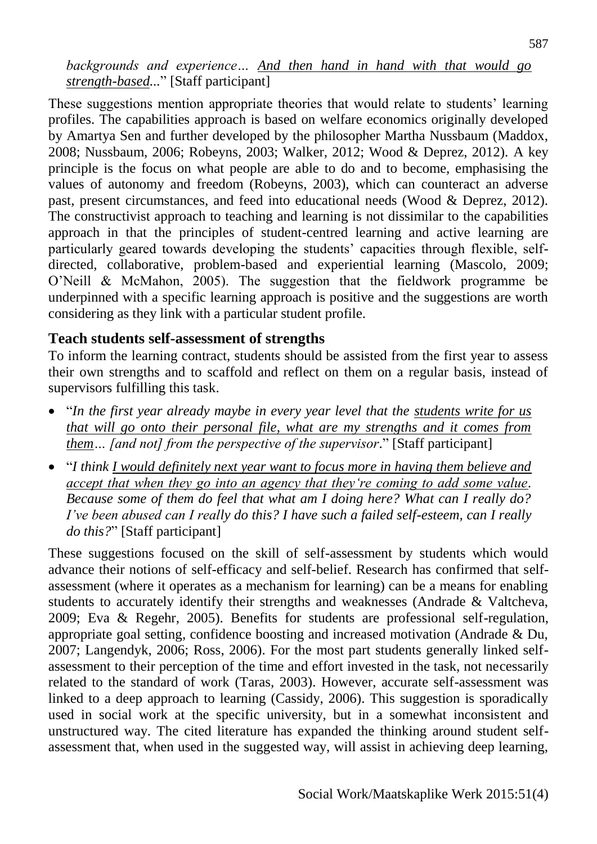*backgrounds and experience… And then hand in hand with that would go strength-based...*" [Staff participant]

These suggestions mention appropriate theories that would relate to students' learning profiles. The capabilities approach is based on welfare economics originally developed by Amartya Sen and further developed by the philosopher Martha Nussbaum (Maddox, 2008; Nussbaum, 2006; Robeyns, 2003; Walker, 2012; Wood & Deprez, 2012). A key principle is the focus on what people are able to do and to become, emphasising the values of autonomy and freedom (Robeyns, 2003), which can counteract an adverse past, present circumstances, and feed into educational needs (Wood & Deprez, 2012). The constructivist approach to teaching and learning is not dissimilar to the capabilities approach in that the principles of student-centred learning and active learning are particularly geared towards developing the students' capacities through flexible, selfdirected, collaborative, problem-based and experiential learning (Mascolo, 2009; O'Neill & McMahon, 2005). The suggestion that the fieldwork programme be underpinned with a specific learning approach is positive and the suggestions are worth considering as they link with a particular student profile.

#### **Teach students self-assessment of strengths**

To inform the learning contract, students should be assisted from the first year to assess their own strengths and to scaffold and reflect on them on a regular basis, instead of supervisors fulfilling this task.

- "*In the first year already maybe in every year level that the students write for us that will go onto their personal file, what are my strengths and it comes from them… [and not] from the perspective of the supervisor*." [Staff participant]
- "*I think I would definitely next year want to focus more in having them believe and accept that when they go into an agency that they're coming to add some value. Because some of them do feel that what am I doing here? What can I really do? I've been abused can I really do this? I have such a failed self-esteem, can I really do this?*" [Staff participant]

These suggestions focused on the skill of self-assessment by students which would advance their notions of self-efficacy and self-belief. Research has confirmed that selfassessment (where it operates as a mechanism for learning) can be a means for enabling students to accurately identify their strengths and weaknesses (Andrade & Valtcheva, 2009; Eva & Regehr, 2005). Benefits for students are professional self-regulation, appropriate goal setting, confidence boosting and increased motivation (Andrade & Du, 2007; Langendyk, 2006; Ross, 2006). For the most part students generally linked selfassessment to their perception of the time and effort invested in the task, not necessarily related to the standard of work (Taras, 2003). However, accurate self-assessment was linked to a deep approach to learning (Cassidy, 2006). This suggestion is sporadically used in social work at the specific university, but in a somewhat inconsistent and unstructured way. The cited literature has expanded the thinking around student selfassessment that, when used in the suggested way, will assist in achieving deep learning,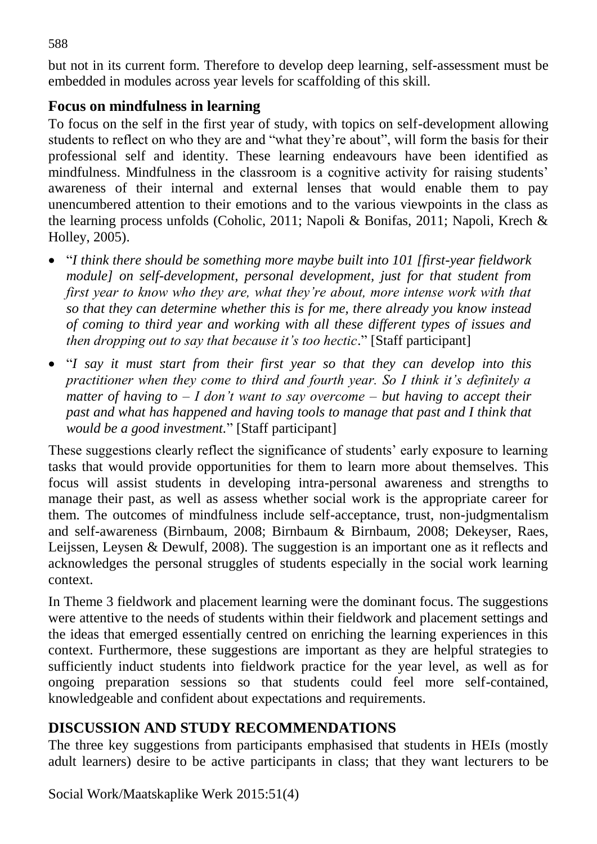but not in its current form. Therefore to develop deep learning, self-assessment must be embedded in modules across year levels for scaffolding of this skill.

#### **Focus on mindfulness in learning**

To focus on the self in the first year of study, with topics on self-development allowing students to reflect on who they are and "what they're about", will form the basis for their professional self and identity. These learning endeavours have been identified as mindfulness. Mindfulness in the classroom is a cognitive activity for raising students' awareness of their internal and external lenses that would enable them to pay unencumbered attention to their emotions and to the various viewpoints in the class as the learning process unfolds (Coholic, 2011; Napoli & Bonifas, 2011; Napoli, Krech & Holley, 2005).

- "*I think there should be something more maybe built into 101 [first-year fieldwork module] on self-development, personal development, just for that student from first year to know who they are, what they're about, more intense work with that so that they can determine whether this is for me, there already you know instead of coming to third year and working with all these different types of issues and then dropping out to say that because it's too hectic.*" [Staff participant]
- "*I say it must start from their first year so that they can develop into this practitioner when they come to third and fourth year. So I think it's definitely a matter of having to – I don't want to say overcome – but having to accept their past and what has happened and having tools to manage that past and I think that would be a good investment.*" [Staff participant]

These suggestions clearly reflect the significance of students' early exposure to learning tasks that would provide opportunities for them to learn more about themselves. This focus will assist students in developing intra-personal awareness and strengths to manage their past, as well as assess whether social work is the appropriate career for them. The outcomes of mindfulness include self-acceptance, trust, non-judgmentalism and self-awareness (Birnbaum, 2008; Birnbaum & Birnbaum, 2008; Dekeyser, Raes, Leijssen, Leysen & Dewulf, 2008). The suggestion is an important one as it reflects and acknowledges the personal struggles of students especially in the social work learning context.

In Theme 3 fieldwork and placement learning were the dominant focus. The suggestions were attentive to the needs of students within their fieldwork and placement settings and the ideas that emerged essentially centred on enriching the learning experiences in this context. Furthermore, these suggestions are important as they are helpful strategies to sufficiently induct students into fieldwork practice for the year level, as well as for ongoing preparation sessions so that students could feel more self-contained, knowledgeable and confident about expectations and requirements.

## **DISCUSSION AND STUDY RECOMMENDATIONS**

The three key suggestions from participants emphasised that students in HEIs (mostly adult learners) desire to be active participants in class; that they want lecturers to be

Social Work/Maatskaplike Werk 2015:51(4)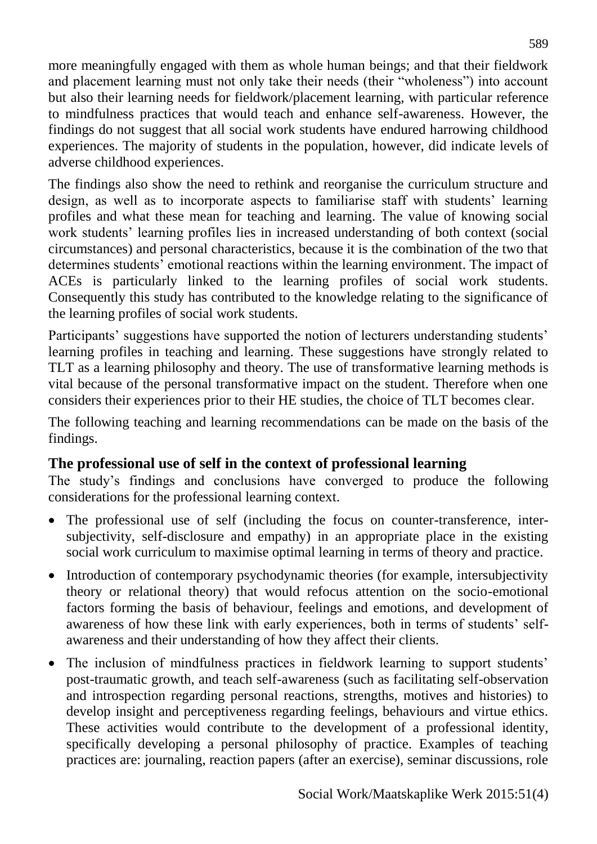more meaningfully engaged with them as whole human beings; and that their fieldwork and placement learning must not only take their needs (their "wholeness") into account but also their learning needs for fieldwork/placement learning, with particular reference to mindfulness practices that would teach and enhance self-awareness. However, the findings do not suggest that all social work students have endured harrowing childhood experiences. The majority of students in the population, however, did indicate levels of adverse childhood experiences.

The findings also show the need to rethink and reorganise the curriculum structure and design, as well as to incorporate aspects to familiarise staff with students' learning profiles and what these mean for teaching and learning. The value of knowing social work students' learning profiles lies in increased understanding of both context (social circumstances) and personal characteristics, because it is the combination of the two that determines students' emotional reactions within the learning environment. The impact of ACEs is particularly linked to the learning profiles of social work students. Consequently this study has contributed to the knowledge relating to the significance of the learning profiles of social work students.

Participants' suggestions have supported the notion of lecturers understanding students' learning profiles in teaching and learning. These suggestions have strongly related to TLT as a learning philosophy and theory. The use of transformative learning methods is vital because of the personal transformative impact on the student. Therefore when one considers their experiences prior to their HE studies, the choice of TLT becomes clear.

The following teaching and learning recommendations can be made on the basis of the findings.

## **The professional use of self in the context of professional learning**

The study's findings and conclusions have converged to produce the following considerations for the professional learning context.

- The professional use of self (including the focus on counter-transference, intersubjectivity, self-disclosure and empathy) in an appropriate place in the existing social work curriculum to maximise optimal learning in terms of theory and practice.
- Introduction of contemporary psychodynamic theories (for example, intersubjectivity theory or relational theory) that would refocus attention on the socio-emotional factors forming the basis of behaviour, feelings and emotions, and development of awareness of how these link with early experiences, both in terms of students' selfawareness and their understanding of how they affect their clients.
- The inclusion of mindfulness practices in fieldwork learning to support students' post-traumatic growth, and teach self-awareness (such as facilitating self-observation and introspection regarding personal reactions, strengths, motives and histories) to develop insight and perceptiveness regarding feelings, behaviours and virtue ethics. These activities would contribute to the development of a professional identity, specifically developing a personal philosophy of practice. Examples of teaching practices are: journaling, reaction papers (after an exercise), seminar discussions, role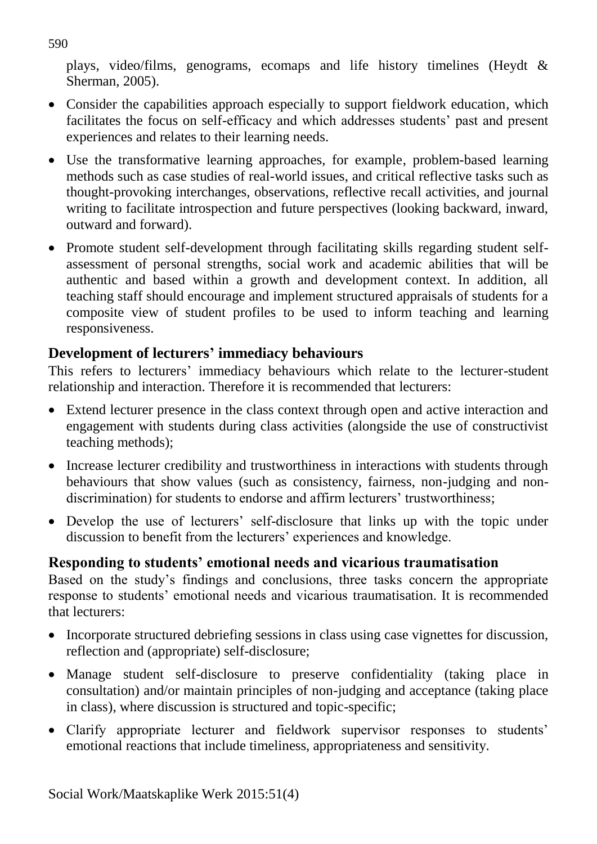plays, video/films, genograms, ecomaps and life history timelines (Heydt & Sherman, 2005).

- Consider the capabilities approach especially to support fieldwork education, which facilitates the focus on self-efficacy and which addresses students' past and present experiences and relates to their learning needs.
- Use the transformative learning approaches, for example, problem-based learning methods such as case studies of real-world issues, and critical reflective tasks such as thought-provoking interchanges, observations, reflective recall activities, and journal writing to facilitate introspection and future perspectives (looking backward, inward, outward and forward).
- Promote student self-development through facilitating skills regarding student selfassessment of personal strengths, social work and academic abilities that will be authentic and based within a growth and development context. In addition, all teaching staff should encourage and implement structured appraisals of students for a composite view of student profiles to be used to inform teaching and learning responsiveness.

## **Development of lecturers' immediacy behaviours**

This refers to lecturers' immediacy behaviours which relate to the lecturer-student relationship and interaction. Therefore it is recommended that lecturers:

- Extend lecturer presence in the class context through open and active interaction and engagement with students during class activities (alongside the use of constructivist teaching methods);
- Increase lecturer credibility and trustworthiness in interactions with students through behaviours that show values (such as consistency, fairness, non-judging and nondiscrimination) for students to endorse and affirm lecturers' trustworthiness;
- Develop the use of lecturers' self-disclosure that links up with the topic under discussion to benefit from the lecturers' experiences and knowledge.

## **Responding to students' emotional needs and vicarious traumatisation**

Based on the study's findings and conclusions, three tasks concern the appropriate response to students' emotional needs and vicarious traumatisation. It is recommended that lecturers:

- Incorporate structured debriefing sessions in class using case vignettes for discussion, reflection and (appropriate) self-disclosure;
- Manage student self-disclosure to preserve confidentiality (taking place in consultation) and/or maintain principles of non-judging and acceptance (taking place in class), where discussion is structured and topic-specific;
- Clarify appropriate lecturer and fieldwork supervisor responses to students' emotional reactions that include timeliness, appropriateness and sensitivity.